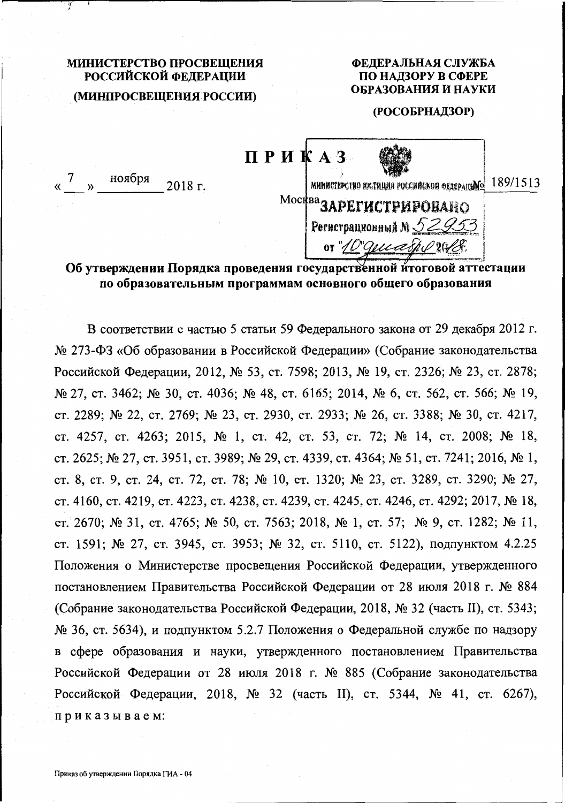# МИНИСТЕРСТВО ПРОСВЕЩЕНИЯ РОССИЙСКОЙ ФЕДЕРАЦИИ (МИНПРОСВЕЩЕНИЯ РОССИИ)

#### ФЕДЕРАЛЬНАЯ СЛУЖБА ПО НАДЗОРУ В СФЕРЕ ОБРАЗОВАНИЯ И НАУКИ

#### (РОСОБРНАДЗОР)

« 7 » ноября 2018 г.

ПРИКАЗ министерство юстиции российской федерацио 189/1513 Москва ЗАРЕГИСТРИРОВАНО Регистрационный М $52953$ or "10" geneath 201

Об утверждении Порядка проведения государственной итоговой аттестации по образовательным программам основного общего образования

В соответствии с частью 5 статьи 59 Федерального закона от 29 декабря 2012 г. № 273-ФЗ «Об образовании в Российской Федерации» (Собрание законодательства Российской Федерации, 2012, № 53, ст. 7598; 2013, № 19, ст. 2326; № 23, ст. 2878; № 27, ст. 3462; № 30, ст. 4036; № 48, ст. 6165; 2014, № 6, ст. 562, ст. 566; № 19, ст. 2289; № 22, ст. 2769; № 23, ст. 2930, ст. 2933; № 26, ст. 3388; № 30, ст. 4217, ст. 4257, ст. 4263; 2015, № 1, ст. 42, ст. 53, ст. 72; № 14, ст. 2008; № 18, ст. 2625; № 27, ст. 3951, ст. 3989; № 29, ст. 4339, ст. 4364; № 51, ст. 7241; 2016, № 1, ст. 8, ст. 9, ст. 24, ст. 72, ст. 78; № 10, ст. 1320; № 23, ст. 3289, ст. 3290; № 27, ст. 4160, ст. 4219, ст. 4223, ст. 4238, ст. 4239, ст. 4245, ст. 4246, ст. 4292; 2017, № 18, ст. 2670; № 31, ст. 4765; № 50, ст. 7563; 2018, № 1, ст. 57; № 9, ст. 1282; № 11, ст. 1591; № 27, ст. 3945, ст. 3953; № 32, ст. 5110, ст. 5122), подпунктом 4.2.25 Положения о Министерстве просвещения Российской Федерации, утвержденного постановлением Правительства Российской Федерации от 28 июля 2018 г. № 884 (Собрание законодательства Российской Федерации, 2018, № 32 (часть II), ст. 5343; № 36, ст. 5634), и подпунктом 5.2.7 Положения о Федеральной службе по надзору в сфере образования и науки, утвержденного постановлением Правительства Российской Федерации от 28 июля 2018 г. № 885 (Собрание законодательства Российской Федерации, 2018, № 32 (часть II), ст. 5344, № 41, ст. 6267), приказываем: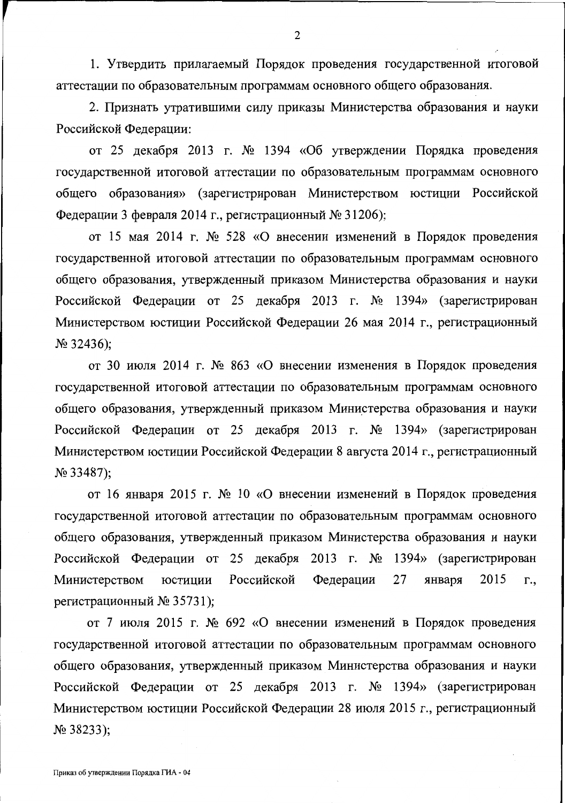1. Утвердить прилагаемый Порядок проведения государственной итоговой аттестации по образовательным программам основного общего образования.

2. Признать утратившими силу приказы Министерства образования и науки Российской Федерации:

от 25 декабря 2013 г. № 1394 «Об утверждении Порядка проведения государственной итоговой аттестации по образовательным программам основного общего образования» (зарегистрирован Министерством юстиции Российской Федерации 3 февраля 2014 г., регистрационный № 31206);

от 15 мая 2014 г. № 528 «О внесении изменений в Порядок проведения государственной итоговой аттестации по образовательным программам основного общего образования, утвержденный приказом Министерства образования и науки Российской Федерации от 25 декабря 2013 г. № 1394» (зарегистрирован Министерством юстиции Российской Федерации 26 мая 2014 г., регистрационный  $N<sub>2</sub>$  32436);

от 30 июля 2014 г. № 863 «О внесении изменения в Порядок проведения государственной итоговой аттестации по образовательным программам основного общего образования, утвержденный приказом Министерства образования и науки Российской Федерации от 25 декабря 2013 г. № 1394» (зарегистрирован Министерством юстиции Российской Федерации 8 августа 2014 г., регистрационный  $N<sub>2</sub>$  33487);

от 16 января 2015 г. № 10 «О внесении изменений в Порядок проведения государственной итоговой аттестации по образовательным программам основного общего образования, утвержденный приказом Министерства образования и науки Российской Федерации от 25 декабря 2013 г. № 1394» (зарегистрирован Министерством Российской Федерации 27 2015 юстиции января Г., регистрационный № 35731);

от 7 июля 2015 г. № 692 «О внесении изменений в Порядок проведения государственной итоговой аттестации по образовательным программам основного общего образования, утвержденный приказом Министерства образования и науки Российской Федерации от 25 декабря 2013 г. № 1394» (зарегистрирован Министерством юстиции Российской Федерации 28 июля 2015 г., регистрационный  $N<sub>2</sub>$  38233);

 $\overline{2}$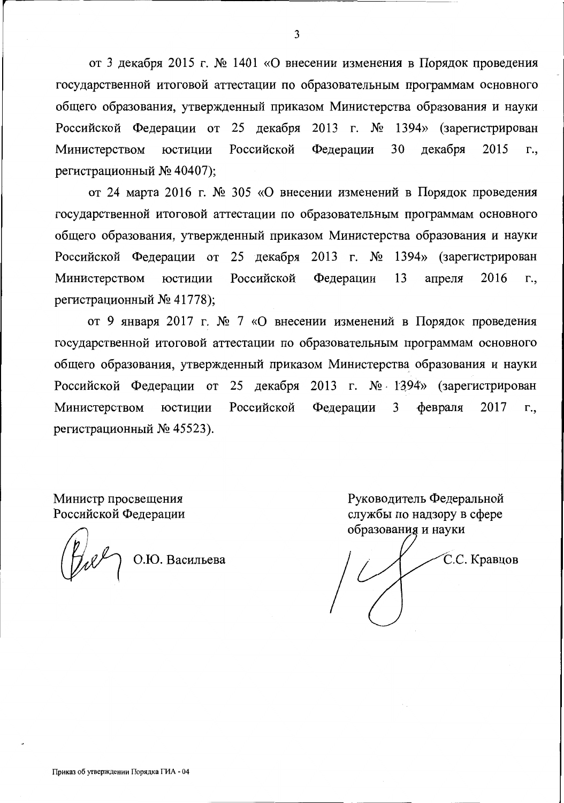от 3 декабря 2015 г. № 1401 «О внесении изменения в Порядок проведения государственной итоговой аттестации по образовательным программам основного общего образования, утвержденный приказом Министерства образования и науки Российской Федерации от 25 декабря 2013 г. № 1394» (зарегистрирован Министерством юстиции Российской Федерации 30 декабря 2015 г., регистрационный № 40407);

от 24 марта 2016 г. № 305 «О внесении изменений в Порядок проведения государственной итоговой аттестации по образовательным программам основного общего образования, утвержденный приказом Министерства образования и науки Российской Федерации от 25 декабря 2013 г. № 1394» (зарегистрирован Министерством юстиции Российской Федерации 13 апреля 2016 г., регистрационный № 41778);

от 9 января 2017 г. № 7 «О внесении изменений в Порядок проведения государственной итоговой аттестации по образовательным программам основного общего образования, утвержденный приказом Министерства образования и науки Российской Федерации от 25 декабря 2013 г. № 1394» (зарегистрирован Министерством юстиции Российской Федерации 3 февраля 2017 г., регистрационный № 45523).

Министр просвещения Российской Федерации

 $\left(\begin{matrix} p \ p \end{matrix}\right)$  O.IO. Васильева

Руководитель Федеральной службы по надзору в сфере образования и науки

С.С. Кравцов

3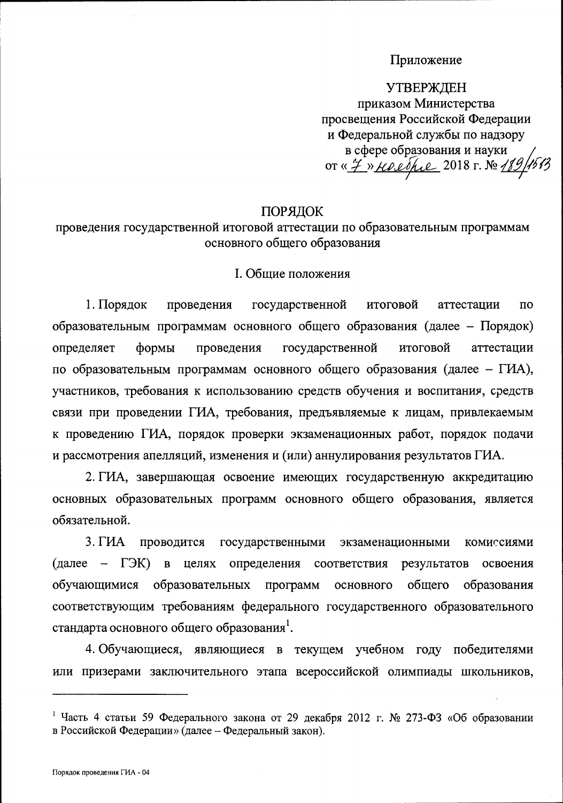# Приложение

**УТВЕРЖДЕН** приказом Министерства просвещения Российской Федерации и Федеральной службы по надзору в сфере образования и науки or « 7 » Keeppe 2018 г. № 189

### ПОРЯДОК

проведения государственной итоговой аттестации по образовательным программам основного общего образования

#### I. Общие положения

1. Порядок проведения государственной итоговой аттестации  $\Pi$ <sup>O</sup> образовательным программам основного общего образования (далее – Порядок) определяет формы проведения государственной итоговой аттестации по образовательным программам основного общего образования (далее – ГИА), участников, требования к использованию средств обучения и воспитания, средств связи при проведении ГИА, требования, предъявляемые к лицам, привлекаемым к проведению ГИА, порядок проверки экзаменационных работ, порядок подачи и рассмотрения апелляций, изменения и (или) аннулирования результатов ГИА.

2. ГИА, завершающая освоение имеющих государственную аккредитацию основных образовательных программ основного общего образования, является обязательной.

 $3. \Gamma$ *HA* проводится государственными экзаменационными комиссиями  $(\text{name} - \Gamma \mathcal{R})$  $\overline{B}$ определения целях соответствия результатов освоения образовательных обучающимися программ основного общего образования соответствующим требованиям федерального государственного образовательного стандарта основного общего образования<sup>1</sup>.

4. Обучающиеся, являющиеся в текущем учебном году победителями или призерами заключительного этапа всероссийской олимпиады школьников,

<sup>&</sup>lt;sup>1</sup> Часть 4 статьи 59 Федерального закона от 29 декабря 2012 г. № 273-ФЗ «Об образовании в Российской Федерации» (далее - Федеральный закон).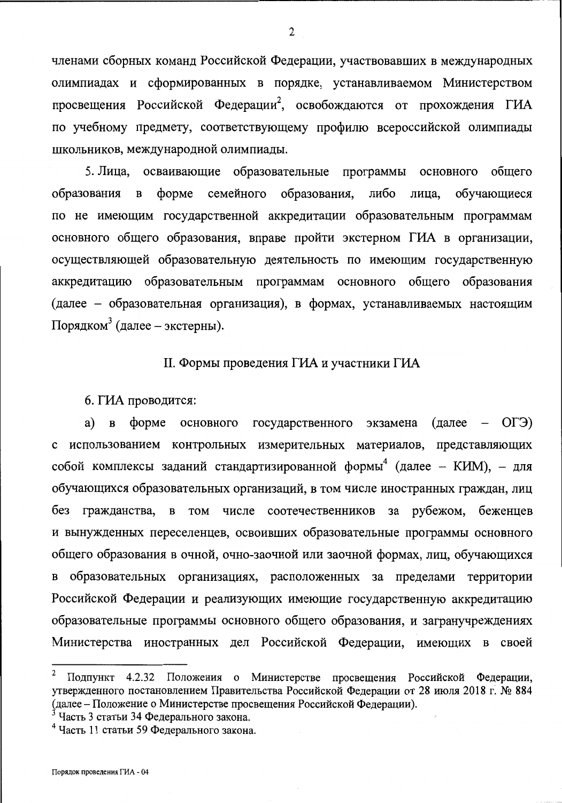членами сборных команд Российской Федерации, участвовавших в международных олимпиадах и сформированных в порядке, устанавливаемом Министерством просвещения Российской Федерации<sup>2</sup>, освобождаются от прохождения ГИА по учебному предмету, соответствующему профилю всероссийской олимпиады школьников, международной олимпиады.

5. Лица, осваивающие образовательные программы основного общего семейного образования, либо  $\phi$ opme лица, обучающиеся образования  $\, {\bf B}$ по не имеющим государственной аккредитации образовательным программам основного общего образования, вправе пройти экстерном ГИА в организации, осуществляющей образовательную деятельность по имеющим государственную аккредитацию образовательным программам основного общего образования (далее - образовательная организация), в формах, устанавливаемых настоящим Порядком<sup>3</sup> (далее – экстерны).

### II. Формы проведения ГИА и участники ГИА

6. ГИА проводится:

форме основного государственного экзамена  $(\text{gance} - \text{OT} \Theta)$ a)  $\, {\bf B}$ с использованием контрольных измерительных материалов, представляющих собой комплексы заданий стандартизированной формы<sup>4</sup> (далее - КИМ), - для обучающихся образовательных организаций, в том числе иностранных граждан, лиц за рубежом, беженцев без гражданства, **B** TOM числе соотечественников и вынужденных переселенцев, освоивших образовательные программы основного общего образования в очной, очно-заочной или заочной формах, лиц, обучающихся в образовательных организациях, расположенных за пределами территории Российской Федерации и реализующих имеющие государственную аккредитацию образовательные программы основного общего образования, и загранучреждениях Министерства иностранных дел Российской Федерации, имеющих в своей

 $\boldsymbol{2}$ Подпункт 4.2.32 Положения о Министерстве просвещения Российской Федерации, утвержденного постановлением Правительства Российской Федерации от 28 июля 2018 г. № 884 (далее – Положение о Министерстве просвещения Российской Федерации).<br><sup>3</sup> Часть 3 статьи 34 Федерального закона.

<sup>&</sup>lt;sup>4</sup> Часть 11 статьи 59 Федерального закона.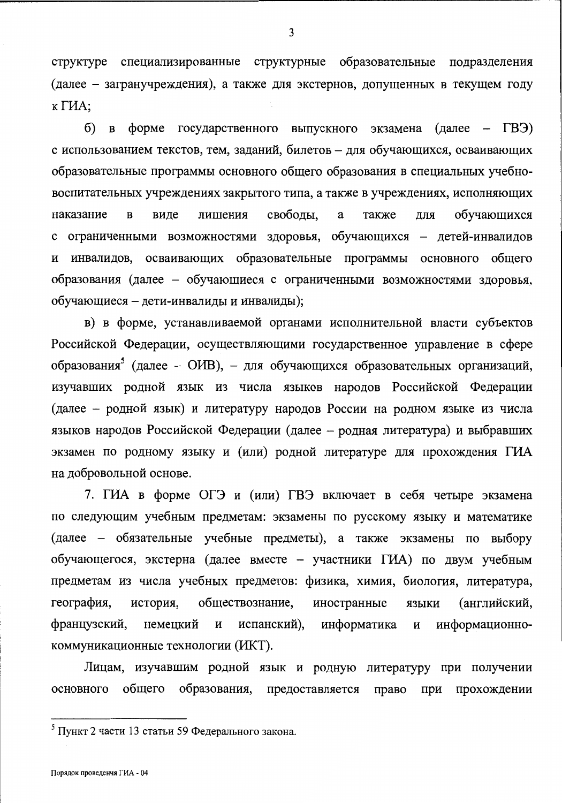структуре специализированные структурные образовательные подразделения (далее - загранучреждения), а также для экстернов, допущенных в текущем году  $K \Gamma M$ A:

форме государственного выпускного экзамена (далее – ГВЭ)  $\delta$ ) B с использованием текстов, тем, заданий, билетов - для обучающихся, осваивающих образовательные программы основного общего образования в специальных учебновоспитательных учреждениях закрытого типа, а также в учреждениях, исполняющих своболы. a обучающихся  $\overline{B}$ лишения также ЛЛЯ наказание виде с ограниченными возможностями здоровья, обучающихся - детей-инвалидов и инвалидов, осваивающих образовательные программы основного общего образования (далее - обучающиеся с ограниченными возможностями здоровья, обучающиеся - дети-инвалиды и инвалиды);

в) в форме, устанавливаемой органами исполнительной власти субъектов Российской Федерации, осуществляющими государственное управление в сфере образования<sup>3</sup> (далее – ОИВ), – для обучающихся образовательных организаций, изучавших родной язык из числа языков народов Российской Федерации (далее – родной язык) и литературу народов России на родном языке из числа языков народов Российской Федерации (далее – родная литература) и выбравших экзамен по родному языку и (или) родной литературе для прохождения ГИА на добровольной основе.

7. ГИА в форме ОГЭ и (или) ГВЭ включает в себя четыре экзамена по следующим учебным предметам: экзамены по русскому языку и математике (далее – обязательные учебные предметы), а также экзамены по выбору обучающегося, экстерна (далее вместе - участники ГИА) по двум учебным предметам из числа учебных предметов: физика, химия, биология, литература, (английский, география, история, обществознание, иностранные языки информатика французский, немецкий  $\mathbf H$ испанский), информационно-И коммуникационные технологии (ИКТ).

Лицам, изучавшим родной язык и родную литературу при получении основного общего образования, предоставляется право при прохождении

<sup>&</sup>lt;sup>5</sup> Пункт 2 части 13 статьи 59 Федерального закона.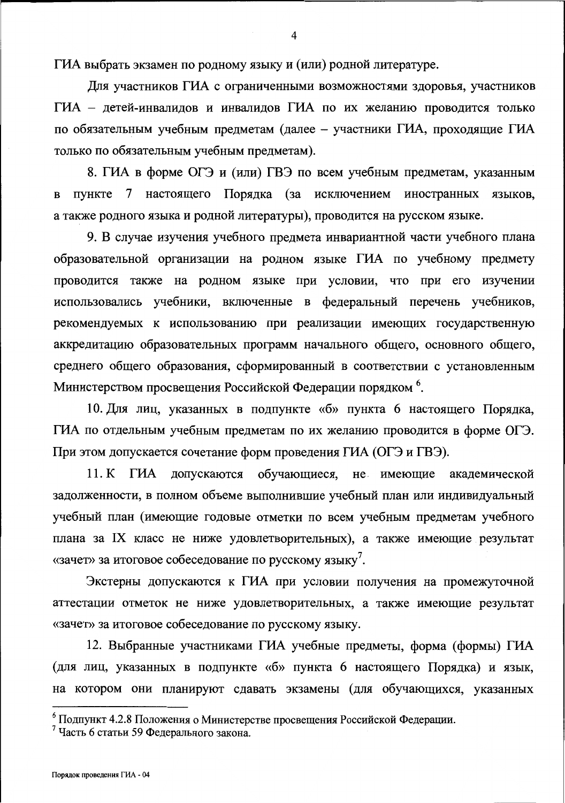ГИА выбрать экзамен по родному языку и (или) родной литературе.

Для участников ГИА с ограниченными возможностями здоровья, участников ГИА - детей-инвалидов и инвалидов ГИА по их желанию проводится только по обязательным учебным предметам (далее - участники ГИА, проходящие ГИА только по обязательным учебным предметам).

8. ГИА в форме ОГЭ и (или) ГВЭ по всем учебным предметам, указанным пункте 7 настоящего Порядка (за исключением иностранных языков,  $\mathbf{B}$ а также родного языка и родной литературы), проводится на русском языке.

9. В случае изучения учебного предмета инвариантной части учебного плана образовательной организации на родном языке ГИА по учебному предмету проводится также на родном языке при условии, что при его изучении использовались учебники, включенные в федеральный перечень учебников, рекомендуемых к использованию при реализации имеющих государственную аккредитацию образовательных программ начального общего, основного общего, среднего общего образования, сформированный в соответствии с установленным Министерством просвещения Российской Федерации порядком <sup>6</sup>.

10. Для лиц, указанных в подпункте «б» пункта 6 настоящего Порядка, ГИА по отдельным учебным предметам по их желанию проводится в форме ОГЭ. При этом допускается сочетание форм проведения ГИА (ОГЭ и ГВЭ).

11. К ГИА допускаются обучающиеся, не имеющие академической задолженности, в полном объеме выполнившие учебный план или индивидуальный учебный план (имеющие годовые отметки по всем учебным предметам учебного плана за IX класс не ниже удовлетворительных), а также имеющие результат «зачет» за итоговое собеседование по русскому языку<sup>7</sup>.

Экстерны допускаются к ГИА при условии получения на промежуточной аттестации отметок не ниже удовлетворительных, а также имеющие результат «зачет» за итоговое собеседование по русскому языку.

12. Выбранные участниками ГИА учебные предметы, форма (формы) ГИА (для лиц, указанных в подпункте «б» пункта 6 настоящего Порядка) и язык, на котором они планируют сдавать экзамены (для обучающихся, указанных

<sup>&</sup>lt;sup>6</sup> Подпункт 4.2.8 Положения о Министерстве просвещения Российской Федерации.

<sup>&</sup>lt;sup>7</sup> Часть 6 статьи 59 Федерального закона.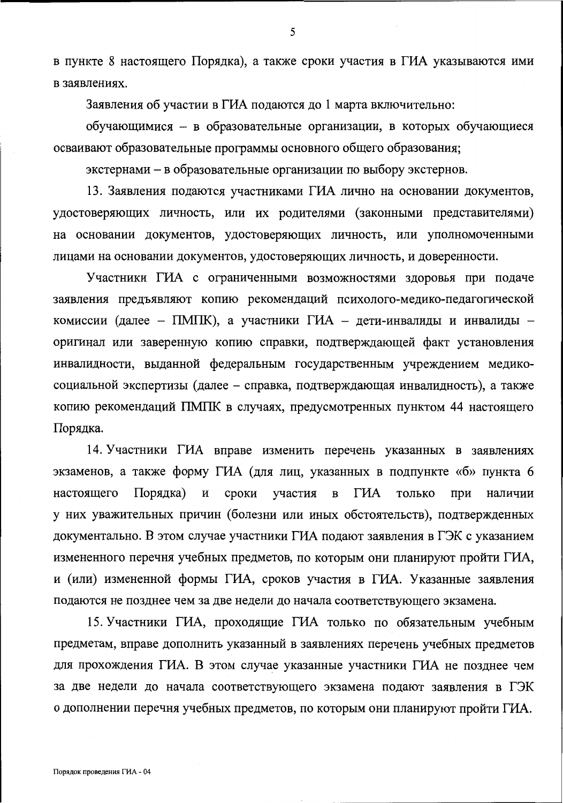в пункте 8 настоящего Порядка), а также сроки участия в ГИА указываются ими в заявлениях.

Заявления об участии в ГИА подаются до 1 марта включительно:

обучающимися - в образовательные организации, в которых обучающиеся осваивают образовательные программы основного общего образования;

экстернами – в образовательные организации по выбору экстернов.

13. Заявления подаются участниками ГИА лично на основании документов, удостоверяющих личность, или их родителями (законными представителями) на основании документов, удостоверяющих личность, или уполномоченными лицами на основании документов, удостоверяющих личность, и доверенности.

Участники ГИА с ограниченными возможностями здоровья при подаче заявления предъявляют копию рекомендаций психолого-медико-педагогической комиссии (далее - ПМПК), а участники ГИА - дети-инвалиды и инвалиды оригинал или заверенную копию справки, подтверждающей факт установления инвалидности, выданной федеральным государственным учреждением медикосоциальной экспертизы (далее - справка, подтверждающая инвалидность), а также копию рекомендаций ПМПК в случаях, предусмотренных пунктом 44 настоящего Порядка.

14. Участники ГИА вправе изменить перечень указанных в заявлениях экзаменов, а также форму ГИА (для лиц, указанных в подпункте «б» пункта 6  $\mathbf H$ ГИА настоящего Порядка) сроки участия  $\bf{B}$ ТОЛЬКО при наличии у них уважительных причин (болезни или иных обстоятельств), подтвержденных документально. В этом случае участники ГИА подают заявления в ГЭК с указанием измененного перечня учебных предметов, по которым они планируют пройти ГИА, и (или) измененной формы ГИА, сроков участия в ГИА. Указанные заявления подаются не позднее чем за две недели до начала соответствующего экзамена.

15. Участники ГИА, проходящие ГИА только по обязательным учебным предметам, вправе дополнить указанный в заявлениях перечень учебных предметов для прохождения ГИА. В этом случае указанные участники ГИА не позднее чем за две недели до начала соответствующего экзамена подают заявления в ГЭК о дополнении перечня учебных предметов, по которым они планируют пройти ГИА.

5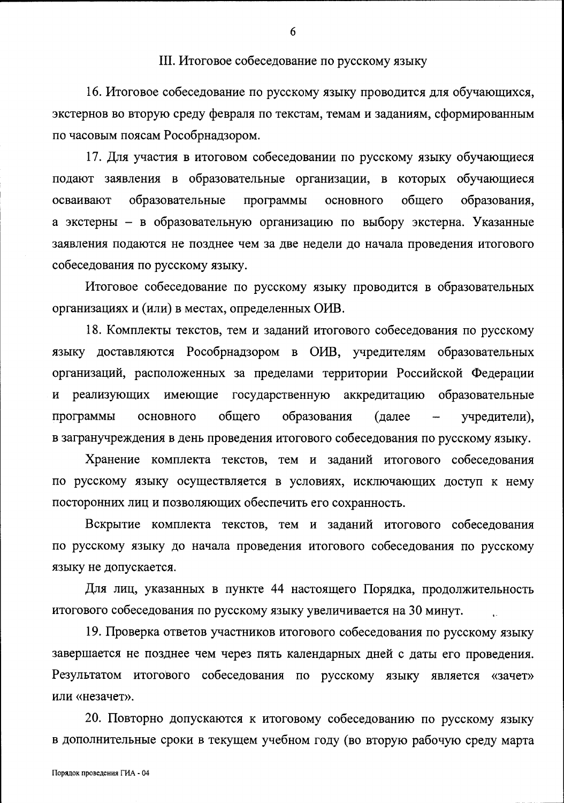### III. Итоговое собеседование по русскому языку

16. Итоговое собеседование по русскому языку проводится для обучающихся, экстернов во вторую среду февраля по текстам, темам и заданиям, сформированным по часовым поясам Рособрнадзором.

17. Для участия в итоговом собеседовании по русскому языку обучающиеся подают заявления в образовательные организации, в которых обучающиеся образовательные программы общего образования, осваивают основного а экстерны - в образовательную организацию по выбору экстерна. Указанные заявления подаются не позднее чем за две недели до начала проведения итогового собеседования по русскому языку.

Итоговое собеседование по русскому языку проводится в образовательных организациях и (или) в местах, определенных ОИВ.

18. Комплекты текстов, тем и заданий итогового собеседования по русскому языку доставляются Рособрнадзором в ОИВ, учредителям образовательных организаций, расположенных за пределами территории Российской Федерации и реализующих имеющие государственную аккредитацию образовательные программы общего образования основного (далее учредители), в загранучреждения в день проведения итогового собеседования по русскому языку.

Хранение комплекта текстов, тем и заданий итогового собеседования по русскому языку осуществляется в условиях, исключающих доступ к нему посторонних лиц и позволяющих обеспечить его сохранность.

Вскрытие комплекта текстов, тем и заданий итогового собеседования по русскому языку до начала проведения итогового собеседования по русскому языку не допускается.

Для лиц, указанных в пункте 44 настоящего Порядка, продолжительность итогового собеседования по русскому языку увеличивается на 30 минут.

19. Проверка ответов участников итогового собеседования по русскому языку завершается не позднее чем через пять календарных дней с даты его проведения. Результатом итогового собеседования по русскому языку является «зачет» или «незачет».

20. Повторно допускаются к итоговому собеседованию по русскому языку в дополнительные сроки в текущем учебном году (во вторую рабочую среду марта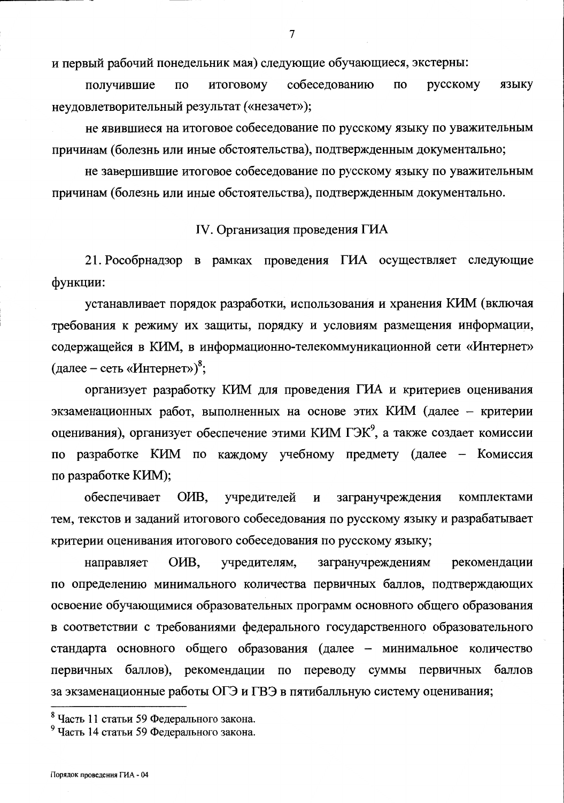и первый рабочий понедельник мая) следующие обучающиеся, экстерны:

собеседованию русскому  $\Pi$ <sup>O</sup> ИТОГОВОМУ  $\Pi$ O языку получившие неудовлетворительный результат («незачет»);

не явившиеся на итоговое собеседование по русскому языку по уважительным причинам (болезнь или иные обстоятельства), подтвержденным документально;

не завершившие итоговое собеседование по русскому языку по уважительным причинам (болезнь или иные обстоятельства), подтвержденным документально.

### IV. Организация проведения ГИА

21. Рособрнадзор в рамках проведения ГИА осуществляет следующие функции:

устанавливает порядок разработки, использования и хранения КИМ (включая требования к режиму их защиты, порядку и условиям размещения информации, содержащейся в КИМ, в информационно-телекоммуникационной сети «Интернет» (далее – сеть «Интернет»)<sup>8</sup>;

организует разработку КИМ для проведения ГИА и критериев оценивания экзаменационных работ, выполненных на основе этих КИМ (далее - критерии оценивания), организует обеспечение этими КИМ ГЭК<sup>9</sup>, а также создает комиссии по разработке КИМ по каждому учебному предмету (далее - Комиссия по разработке КИМ);

обеспечивает O<sub>H</sub>B. учредителей  $\mathbf{H}$ загранучреждения комплектами тем, текстов и заданий итогового собеседования по русскому языку и разрабатывает критерии оценивания итогового собеседования по русскому языку;

направляет OHB, учредителям, загранучреждениям рекомендации по определению минимального количества первичных баллов, подтверждающих освоение обучающимися образовательных программ основного общего образования в соответствии с требованиями федерального государственного образовательного стандарта основного общего образования (далее - минимальное количество первичных баллов), рекомендации по переводу суммы первичных баллов за экзаменационные работы ОГЭ и ГВЭ в пятибалльную систему оценивания;

<sup>&</sup>lt;sup>8</sup> Часть 11 статьи 59 Федерального закона.

<sup>&</sup>lt;sup>9</sup> Часть 14 статьи 59 Федерального закона.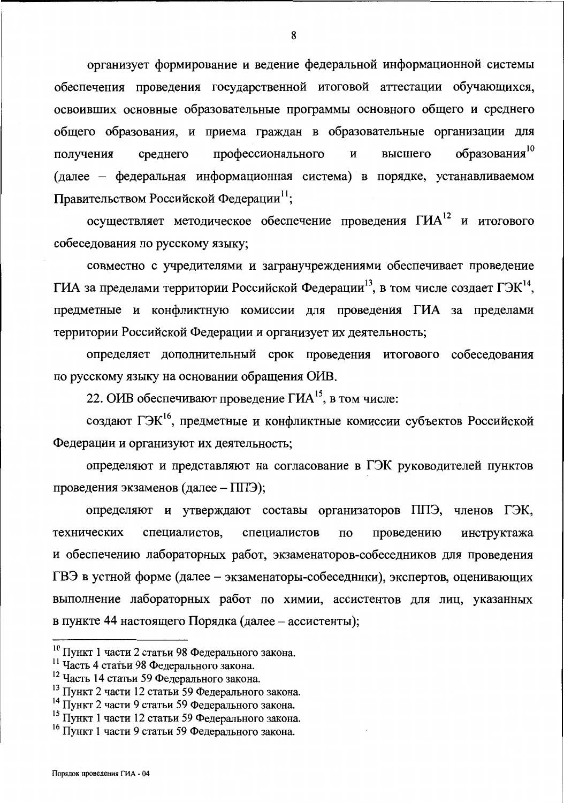организует формирование и ведение федеральной информационной системы обеспечения проведения государственной итоговой аттестации обучающихся, освоивших основные образовательные программы основного общего и среднего общего образования, и приема граждан в образовательные организации для образования<sup>10</sup> профессионального высшего получения среднего И (далее - федеральная информационная система) в порядке, устанавливаемом Правительством Российской Федерации<sup>11</sup>;

осуществляет методическое обеспечение проведения ГИА<sup>12</sup> и итогового собеседования по русскому языку;

совместно с учредителями и загранучреждениями обеспечивает проведение ГИА за пределами территории Российской Федерации<sup>13</sup>, в том числе создает ГЭК<sup>14</sup>, предметные и конфликтную комиссии для проведения ГИА за пределами территории Российской Федерации и организует их деятельность;

определяет дополнительный срок проведения итогового собеседования по русскому языку на основании обращения ОИВ.

22. ОИВ обеспечивают проведение ГИА<sup>15</sup>, в том числе:

создают ГЭК<sup>16</sup>, предметные и конфликтные комиссии субъектов Российской Федерации и организуют их деятельность;

определяют и представляют на согласование в ГЭК руководителей пунктов проведения экзаменов (далее - ППЭ);

определяют и утверждают составы организаторов ППЭ, членов ГЭК, технических специалистов. специалистов проведению  $\Pi$ <sup>O</sup> инструктажа и обеспечению лабораторных работ, экзаменаторов-собеседников для проведения ГВЭ в устной форме (далее - экзаменаторы-собеседники), экспертов, оценивающих выполнение лабораторных работ по химии, ассистентов для лиц, указанных в пункте 44 настоящего Порядка (далее – ассистенты);

<sup>10</sup> Пункт 1 части 2 статьи 98 Федерального закона.

<sup>11</sup> Часть 4 статьи 98 Федерального закона.

<sup>&</sup>lt;sup>12</sup> Часть 14 статьи 59 Федерального закона.

<sup>&</sup>lt;sup>13</sup> Пункт 2 части 12 статьи 59 Федерального закона.

<sup>14</sup> Пункт 2 части 9 статьи 59 Федерального закона.

<sup>15</sup> Пункт 1 части 12 статьи 59 Федерального закона.

<sup>16</sup> Пункт 1 части 9 статьи 59 Федерального закона.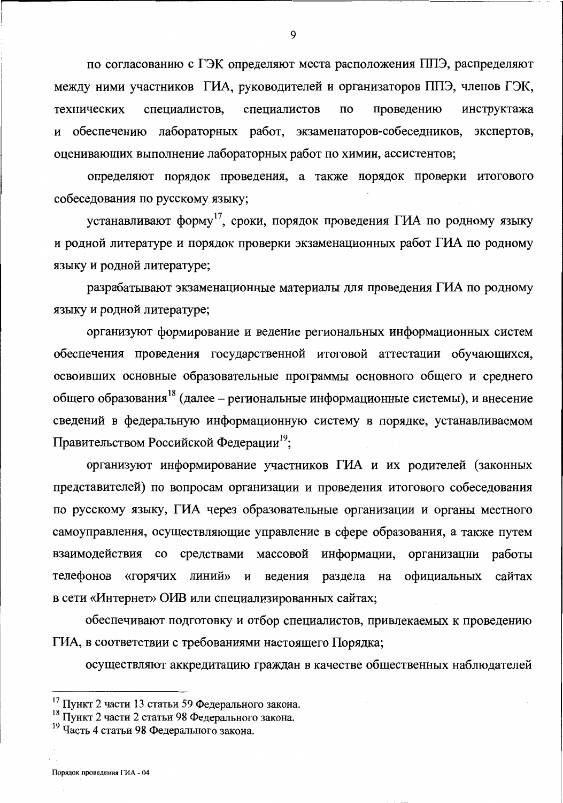по согласованию с ГЭК определяют места расположения ППЭ, распределяют между ними участников ГИА, руководителей и организаторов ППЭ, членов ГЭК, проведению технических специалистов, специалистов  $\Pi$ O инструктажа обеспечению лабораторных работ, экзаменаторов-собеседников, И экспертов. оценивающих выполнение лабораторных работ по химии, ассистентов;

определяют порядок проведения, а также порядок проверки итогового собеседования по русскому языку;

устанавливают форму<sup>17</sup>, сроки, порядок проведения ГИА по родному языку и родной литературе и порядок проверки экзаменационных работ ГИА по родному языку и родной литературе;

разрабатывают экзаменационные материалы для проведения ГИА по родному языку и родной литературе;

организуют формирование и ведение региональных информационных систем обеспечения проведения государственной итоговой аттестации обучающихся, освоивших основные образовательные программы основного общего и среднего общего образования<sup>18</sup> (далее - региональные информационные системы), и внесение сведений в федеральную информационную систему в порядке, устанавливаемом Правительством Российской Федерации<sup>19</sup>;

организуют информирование участников ГИА и их родителей (законных представителей) по вопросам организации и проведения итогового собеседования по русскому языку, ГИА через образовательные организации и органы местного самоуправления, осуществляющие управление в сфере образования, а также путем взаимодействия со средствами массовой информации, организации работы телефонов «горячих линий» и ведения раздела на официальных сайтах в сети «Интернет» ОИВ или специализированных сайтах;

обеспечивают подготовку и отбор специалистов, привлекаемых к проведению ГИА, в соответствии с требованиями настоящего Порядка;

осуществляют аккредитацию граждан в качестве общественных наблюдателей

Порядок проведения ГИА - 04

<sup>17</sup> Пункт 2 части 13 статьи 59 Федерального закона.

<sup>18</sup> Пункт 2 части 2 статьи 98 Федерального закона.

<sup>&</sup>lt;sup>19</sup> Часть 4 статьи 98 Федерального закона.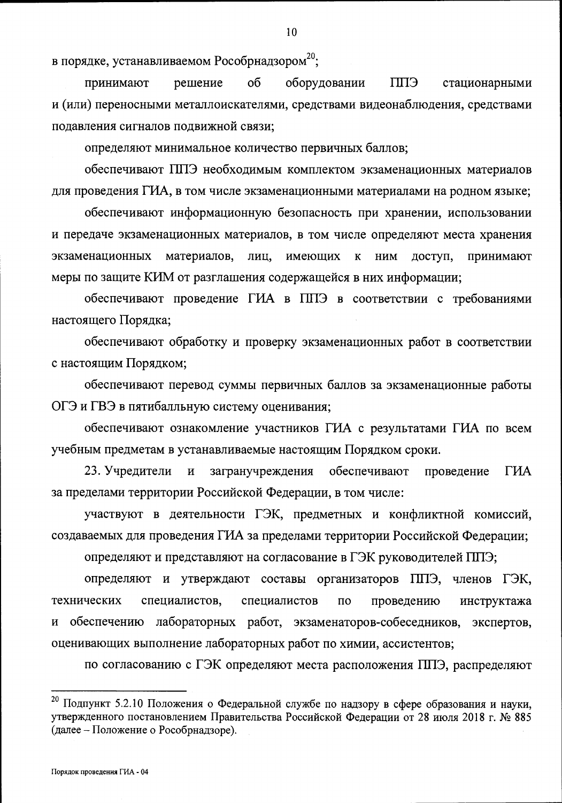в порядке, устанавливаемом Рособрнадзором<sup>20</sup>;

оборудовании **EIIII** стационарными решение  $\overline{00}$ принимают и (или) переносными металлоискателями, средствами видеонаблюдения, средствами подавления сигналов подвижной связи;

определяют минимальное количество первичных баллов;

обеспечивают ППЭ необходимым комплектом экзаменационных материалов для проведения ГИА, в том числе экзаменационными материалами на родном языке;

обеспечивают информационную безопасность при хранении, использовании и передаче экзаменационных материалов, в том числе определяют места хранения экзаменационных материалов, лиц, имеющих  ${\bf K}$ **HIM** доступ, принимают меры по защите КИМ от разглашения содержащейся в них информации;

обеспечивают проведение ГИА в ППЭ в соответствии с требованиями настоящего Порядка;

обеспечивают обработку и проверку экзаменационных работ в соответствии с настоящим Порядком;

обеспечивают перевод суммы первичных баллов за экзаменационные работы ОГЭ и ГВЭ в пятибалльную систему оценивания;

обеспечивают ознакомление участников ГИА с результатами ГИА по всем учебным предметам в устанавливаемые настоящим Порядком сроки.

23. Учредители  $\overline{M}$ загранучреждения обеспечивают проведение ГИА за пределами территории Российской Федерации, в том числе:

участвуют в деятельности ГЭК, предметных и конфликтной комиссий, создаваемых для проведения ГИА за пределами территории Российской Федерации;

определяют и представляют на согласование в ГЭК руководителей ППЭ;

определяют и утверждают составы организаторов ППЭ, членов ГЭК, технических специалистов. специалистов  $\Pi$ <sup>o</sup> проведению инструктажа обеспечению лабораторных работ, экзаменаторов-собеседников, экспертов,  $\mathbf{M}$ оценивающих выполнение лабораторных работ по химии, ассистентов;

по согласованию с ГЭК определяют места расположения ППЭ, распределяют

<sup>20</sup> Подпункт 5.2.10 Положения о Федеральной службе по надзору в сфере образования и науки, утвержденного постановлением Правительства Российской Федерации от 28 июля 2018 г. № 885 (далее - Положение о Рособрнадзоре).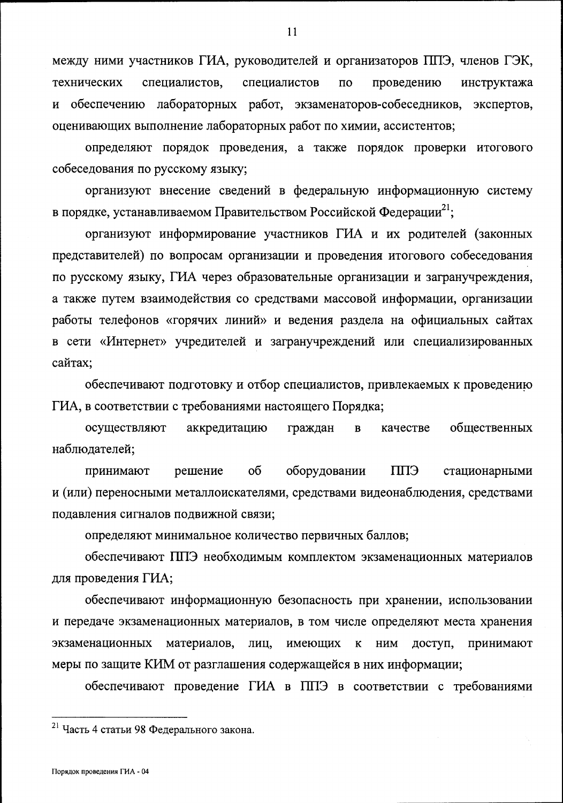между ними участников ГИА, руководителей и организаторов ППЭ, членов ГЭК, специалистов технических специалистов,  $\overline{10}$ проведению инструктажа и обеспечению лабораторных работ, экзаменаторов-собеседников, экспертов, оценивающих выполнение лабораторных работ по химии, ассистентов;

определяют порядок проведения, а также порядок проверки итогового собеседования по русскому языку;

организуют внесение сведений в федеральную информационную систему в порядке, устанавливаемом Правительством Российской Федерации<sup>21</sup>;

организуют информирование участников ГИА и их родителей (законных представителей) по вопросам организации и проведения итогового собеседования по русскому языку, ГИА через образовательные организации и загранучреждения, а также путем взаимодействия со средствами массовой информации, организации работы телефонов «горячих линий» и ведения раздела на официальных сайтах в сети «Интернет» учредителей и загранучреждений или специализированных сайтах:

обеспечивают подготовку и отбор специалистов, привлекаемых к проведению ГИА, в соответствии с требованиями настоящего Порядка;

аккредитацию осуществляют общественных граждан  $\mathbf{B}$ качестве наблюдателей;

ЕЩ принимают решение об оборудовании стационарными и (или) переносными металлоискателями, средствами видеонаблюдения, средствами подавления сигналов подвижной связи;

определяют минимальное количество первичных баллов;

обеспечивают ППЭ необходимым комплектом экзаменационных материалов для проведения ГИА;

обеспечивают информационную безопасность при хранении, использовании и передаче экзаменационных материалов, в том числе определяют места хранения имеющих экзаменационных материалов, лиц. принимают  $\mathbf K$ НИМ доступ, меры по защите КИМ от разглашения содержащейся в них информации;

обеспечивают проведение ГИА в ППЭ в соответствии с требованиями

<sup>21</sup> Часть 4 статьи 98 Федерального закона.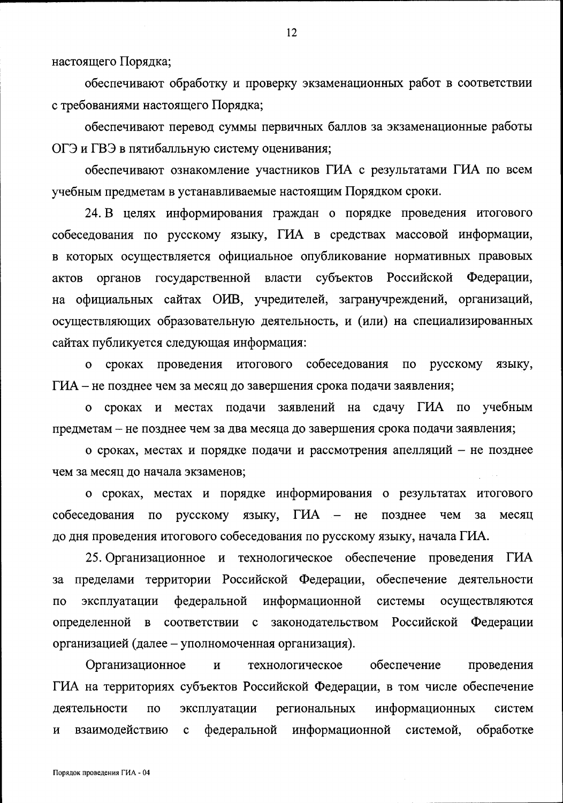настоящего Порядка;

обеспечивают обработку и проверку экзаменационных работ в соответствии с требованиями настоящего Порядка;

обеспечивают перевод суммы первичных баллов за экзаменационные работы ОГЭ и ГВЭ в пятибалльную систему оценивания;

обеспечивают ознакомление участников ГИА с результатами ГИА по всем учебным предметам в устанавливаемые настоящим Порядком сроки.

24. В целях информирования граждан о порядке проведения итогового собеседования по русскому языку, ГИА в средствах массовой информации, в которых осуществляется официальное опубликование нормативных правовых органов государственной власти субъектов Российской Федерации, актов на официальных сайтах ОИВ, учредителей, загранучреждений, организаций, осуществляющих образовательную деятельность, и (или) на специализированных сайтах публикуется следующая информация:

проведения итогового собеседования о сроках  $\overline{10}$ русскому языку, ГИА – не позднее чем за месяц до завершения срока подачи заявления;

сроках и местах подачи заявлений на сдачу ГИА по учебным  $\mathbf{o}$ предметам - не позднее чем за два месяца до завершения срока подачи заявления;

о сроках, местах и порядке подачи и рассмотрения апелляций - не позднее чем за месяц до начала экзаменов;

о сроках, местах и порядке информирования о результатах итогового ГИА  $\overline{\phantom{0}}$  $He$ собеседования  $\overline{a}$ русскому языку, позднее чем  $3a$ месяц до дня проведения итогового собеседования по русскому языку, начала ГИА.

25. Организационное и технологическое обеспечение проведения ГИА за пределами территории Российской Федерации, обеспечение деятельности эксплуатации федеральной информационной осуществляются  $\overline{a}$ системы соответствии с законодательством Российской Федерации определенной  $\, {\bf B}$ организацией (далее – уполномоченная организация).

Организационное обеспечение  $\mathbf{M}$ технологическое проведения ГИА на территориях субъектов Российской Федерации, в том числе обеспечение деятельности  $\Pi$ O эксплуатации региональных информационных систем взаимодействию федеральной информационной системой, обработке  $\overline{\mathbf{M}}$  $\mathbf c$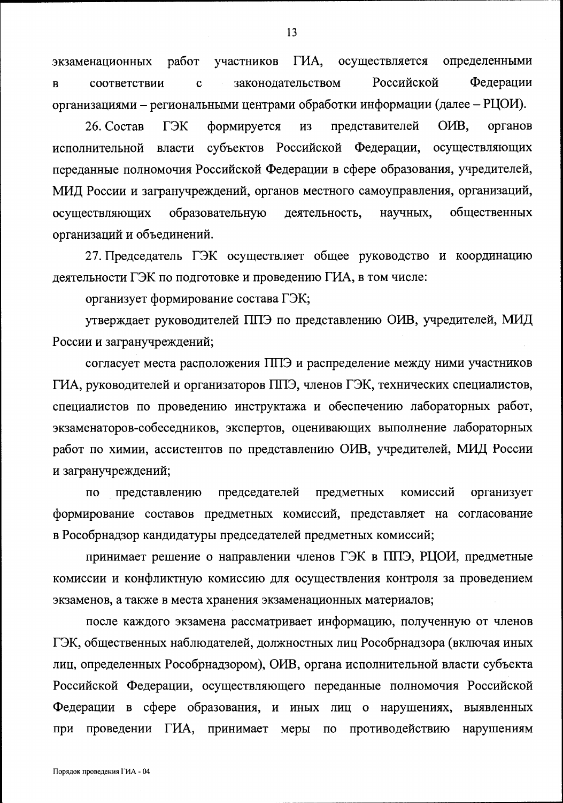ГИА, осуществляется определенными работ участников экзаменационных Российской Федерации законодательством соответствии  $\mathbf c$  $\bf{B}$ организациями - региональными центрами обработки информации (далее - РЦОИ).

ГЭК представителей OHB,  $26.$  Состав формируется **ИЗ** органов власти субъектов Российской Федерации, исполнительной осуществляющих переданные полномочия Российской Федерации в сфере образования, учредителей, МИД России и загранучреждений, органов местного самоуправления, организаций, осуществляющих образовательную деятельность, научных, общественных организаций и объединений.

27. Председатель ГЭК осуществляет общее руководство и координацию деятельности ГЭК по подготовке и проведению ГИА, в том числе:

организует формирование состава ГЭК;

утверждает руководителей ППЭ по представлению ОИВ, учредителей, МИД России и загранучреждений;

согласует места расположения ППЭ и распределение между ними участников ГИА, руководителей и организаторов ППЭ, членов ГЭК, технических специалистов, специалистов по проведению инструктажа и обеспечению лабораторных работ, экзаменаторов-собеседников, экспертов, оценивающих выполнение лабораторных работ по химии, ассистентов по представлению ОИВ, учредителей, МИД России и загранучреждений;

председателей предметных комиссий организует  $\Pi$ O представлению формирование составов предметных комиссий, представляет на согласование в Рособрнадзор кандидатуры председателей предметных комиссий;

принимает решение о направлении членов ГЭК в ППЭ, РЦОИ, предметные комиссии и конфликтную комиссию для осуществления контроля за проведением экзаменов, а также в места хранения экзаменационных материалов;

после каждого экзамена рассматривает информацию, полученную от членов ГЭК, общественных наблюдателей, должностных лиц Рособрнадзора (включая иных лиц, определенных Рособрнадзором), ОИВ, органа исполнительной власти субъекта Российской Федерации, осуществляющего переданные полномочия Российской Федерации в сфере образования, и иных лиц о нарушениях, выявленных при проведении ГИА, принимает меры по противодействию нарушениям

13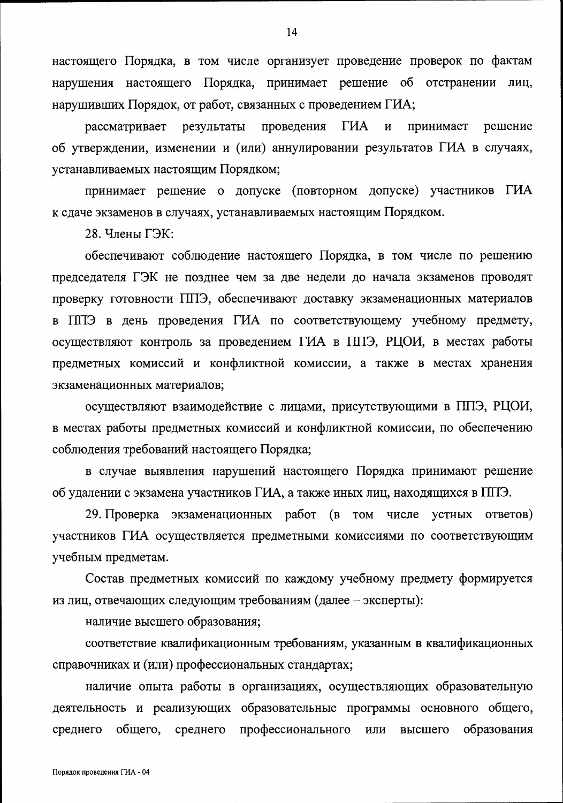настоящего Порядка, в том числе организует проведение проверок по фактам нарушения настоящего Порядка, принимает решение об отстранении лиц. нарушивших Порядок, от работ, связанных с проведением ГИА;

рассматривает результаты проведения **THA**  $\overline{\mathbf{M}}$ принимает решение об утверждении, изменении и (или) аннулировании результатов ГИА в случаях, устанавливаемых настоящим Порядком;

принимает решение о допуске (повторном допуске) участников ГИА к сдаче экзаменов в случаях, устанавливаемых настоящим Порядком.

28. Члены ГЭК:

обеспечивают соблюдение настоящего Порядка, в том числе по решению председателя ГЭК не позднее чем за две недели до начала экзаменов проводят проверку готовности ППЭ, обеспечивают доставку экзаменационных материалов в ППЭ в день проведения ГИА по соответствующему учебному предмету, осуществляют контроль за проведением ГИА в ППЭ, РЦОИ, в местах работы предметных комиссий и конфликтной комиссии, а также в местах хранения экзаменационных материалов;

осуществляют взаимодействие с лицами, присутствующими в ППЭ, РЦОИ, в местах работы предметных комиссий и конфликтной комиссии, по обеспечению соблюдения требований настоящего Порядка;

в случае выявления нарушений настоящего Порядка принимают решение об удалении с экзамена участников ГИА, а также иных лиц, находящихся в ППЭ.

29. Проверка экзаменационных работ (в том числе устных ответов) участников ГИА осуществляется предметными комиссиями по соответствующим учебным предметам.

Состав предметных комиссий по каждому учебному предмету формируется из лиц, отвечающих следующим требованиям (далее - эксперты):

наличие высшего образования;

соответствие квалификационным требованиям, указанным в квалификационных справочниках и (или) профессиональных стандартах;

наличие опыта работы в организациях, осуществляющих образовательную деятельность и реализующих образовательные программы основного общего, среднего общего, среднего профессионального ИЛИ высшего образования

14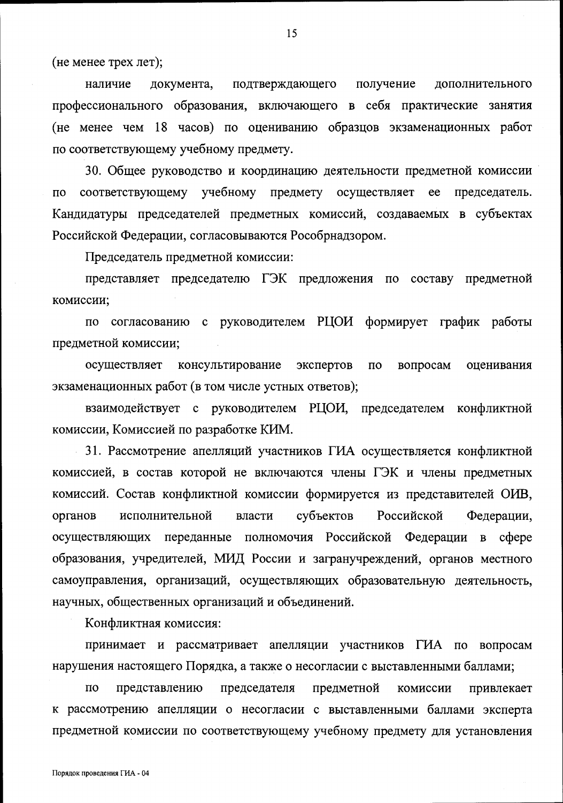(не менее трех лет);

наличие документа, подтверждающего получение дополнительного профессионального образования, включающего в себя практические занятия (не менее чем 18 часов) по оцениванию образцов экзаменационных работ по соответствующему учебному предмету.

30. Общее руководство и координацию деятельности предметной комиссии соответствующему учебному предмету осуществляет ee председатель.  $\overline{a}$ Кандидатуры председателей предметных комиссий, создаваемых в субъектах Российской Федерации, согласовываются Рособрнадзором.

Председатель предметной комиссии:

представляет председателю ГЭК предложения по составу предметной комиссии:

по согласованию с руководителем РЦОИ формирует график работы предметной комиссии;

осуществляет консультирование экспертов  $\overline{a}$ вопросам оценивания экзаменационных работ (в том числе устных ответов);

взаимодействует с руководителем РЦОИ, председателем конфликтной комиссии, Комиссией по разработке КИМ.

31. Рассмотрение апелляций участников ГИА осуществляется конфликтной комиссией, в состав которой не включаются члены ГЭК и члены предметных комиссий. Состав конфликтной комиссии формируется из представителей ОИВ, исполнительной органов власти субъектов Российской Федерации, переданные полномочия Российской Федерации в сфере осуществляющих образования, учредителей, МИД России и загранучреждений, органов местного самоуправления, организаций, осуществляющих образовательную деятельность, научных, общественных организаций и объединений.

Конфликтная комиссия:

принимает и рассматривает апелляции участников ГИА по вопросам нарушения настоящего Порядка, а также о несогласии с выставленными баллами;

 $\overline{10}$ представлению председателя предметной комиссии привлекает к рассмотрению апелляции о несогласии с выставленными баллами эксперта предметной комиссии по соответствующему учебному предмету для установления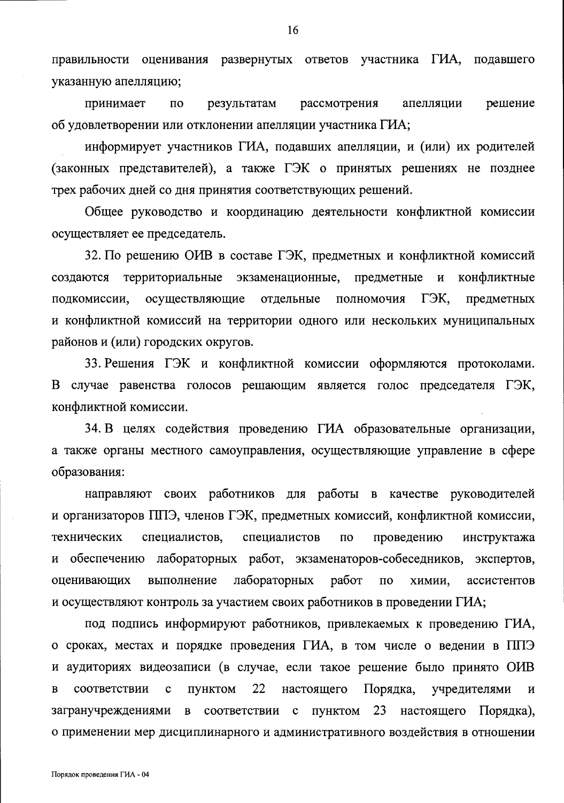правильности оценивания развернутых ответов участника ГИА, подавшего указанную апелляцию;

принимает результатам рассмотрения решение  $\Pi$ O апелляции об удовлетворении или отклонении апелляции участника ГИА;

информирует участников ГИА, подавших апелляции, и (или) их родителей (законных представителей), а также ГЭК о принятых решениях не позднее трех рабочих дней со дня принятия соответствующих решений.

Общее руководство и координацию деятельности конфликтной комиссии осуществляет ее председатель.

32. По решению ОИВ в составе ГЭК, предметных и конфликтной комиссий создаются территориальные экзаменационные, предметные  $\mathbf{M}$ конфликтные подкомиссии, осуществляющие отдельные полномочия ГЭК, предметных и конфликтной комиссий на территории одного или нескольких муниципальных районов и (или) городских округов.

33. Решения ГЭК и конфликтной комиссии оформляются протоколами. В случае равенства голосов решающим является голос председателя ГЭК, конфликтной комиссии.

34. В целях содействия проведению ГИА образовательные организации, а также органы местного самоуправления, осуществляющие управление в сфере образования:

направляют своих работников для работы в качестве руководителей и организаторов ППЭ, членов ГЭК, предметных комиссий, конфликтной комиссии, технических специалистов, специалистов  $\Pi$ O проведению инструктажа обеспечению лабораторных работ, экзаменаторов-собеседников, экспертов, и оценивающих выполнение лабораторных работ  $\Pi$ <sup>O</sup> ассистентов химии, и осуществляют контроль за участием своих работников в проведении ГИА;

под подпись информируют работников, привлекаемых к проведению ГИА, о сроках, местах и порядке проведения ГИА, в том числе о ведении в ППЭ и аудиториях видеозаписи (в случае, если такое решение было принято ОИВ настоящего  $\overline{B}$ соответствии  $\mathbf c$ ПУНКТОМ 22 Порядка, учредителями И загранучреждениями  $\overline{B}$ соответствии с ПУНКТОМ 23 настоящего Порядка), о применении мер дисциплинарного и административного воздействия в отношении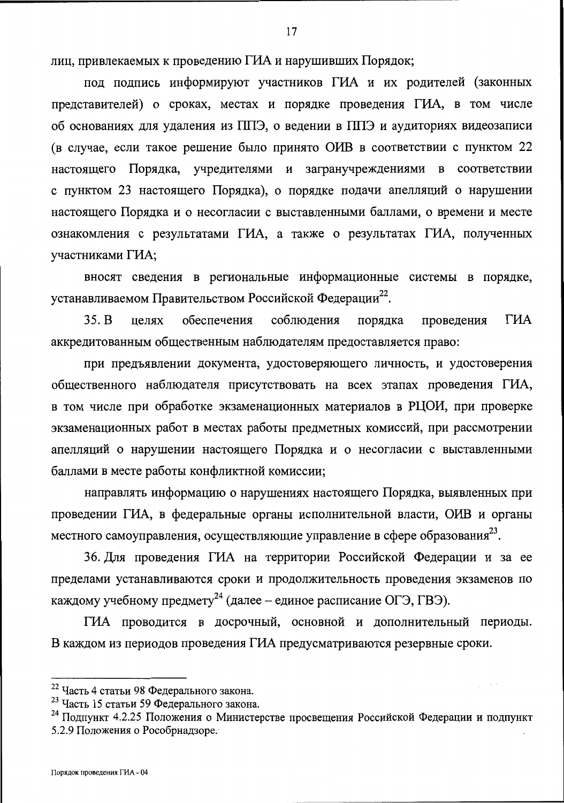лиц, привлекаемых к проведению ГИА и нарушивших Порядок;

под подпись информируют участников ГИА и их родителей (законных представителей) о сроках, местах и порядке проведения ГИА, в том числе об основаниях для удаления из ППЭ, о ведении в ППЭ и аудиториях видеозаписи (в случае, если такое решение было принято ОИВ в соответствии с пунктом 22 настоящего Порядка, учредителями и загранучреждениями в соответствии с пунктом 23 настоящего Порядка), о порядке подачи апелляций о нарушении настоящего Порядка и о несогласии с выставленными баллами, о времени и месте ознакомления с результатами ГИА, а также о результатах ГИА, полученных участниками ГИА;

вносят сведения в региональные информационные системы в порядке, устанавливаемом Правительством Российской Федерации<sup>22</sup>.

ГИА  $35. B$ целях обеспечения соблюдения порядка проведения аккредитованным общественным наблюдателям предоставляется право:

при предъявлении документа, удостоверяющего личность, и удостоверения общественного наблюдателя присутствовать на всех этапах проведения ГИА, в том числе при обработке экзаменационных материалов в РЦОИ, при проверке экзаменационных работ в местах работы предметных комиссий, при рассмотрении апелляций о нарушении настоящего Порядка и о несогласии с выставленными баллами в месте работы конфликтной комиссии;

направлять информацию о нарушениях настоящего Порядка, выявленных при проведении ГИА, в федеральные органы исполнительной власти, ОИВ и органы местного самоуправления, осуществляющие управление в сфере образования<sup>23</sup>.

36. Для проведения ГИА на территории Российской Федерации и за ее пределами устанавливаются сроки и продолжительность проведения экзаменов по каждому учебному предмету<sup>24</sup> (далее – единое расписание ОГЭ, ГВЭ).

ГИА проводится в досрочный, основной и дополнительный периоды. В каждом из периодов проведения ГИА предусматриваются резервные сроки.

<sup>&</sup>lt;sup>22</sup> Часть 4 статьи 98 Федерального закона.

<sup>&</sup>lt;sup>23</sup> Часть 15 статьи 59 Федерального закона.

<sup>&</sup>lt;sup>24</sup> Подпункт 4.2.25 Положения о Министерстве просвещения Российской Федерации и подпункт 5.2.9 Положения о Рособрнадзоре.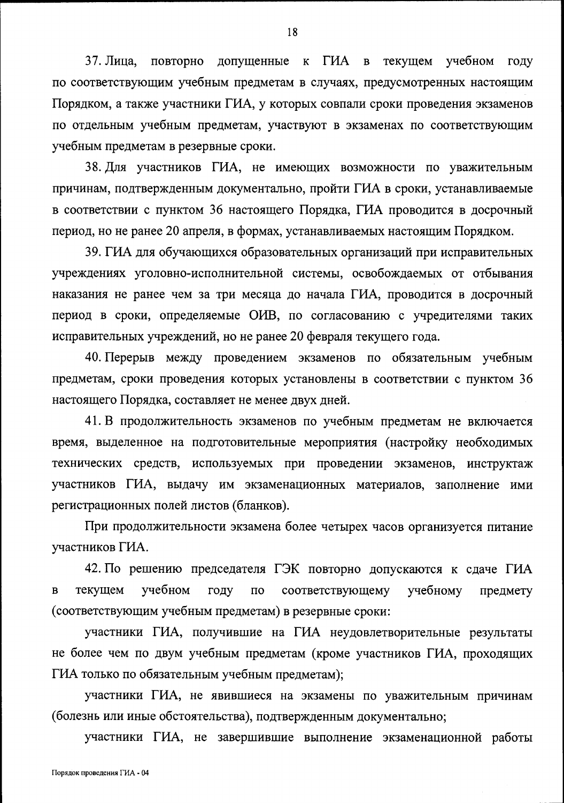37. Лица, повторно допущенные к ГИА в текущем учебном году по соответствующим учебным предметам в случаях, предусмотренных настоящим Порядком, а также участники ГИА, у которых совпали сроки проведения экзаменов по отдельным учебным предметам, участвуют в экзаменах по соответствующим учебным предметам в резервные сроки.

38. Для участников ГИА, не имеющих возможности по уважительным причинам, подтвержденным документально, пройти ГИА в сроки, устанавливаемые в соответствии с пунктом 36 настоящего Порядка, ГИА проводится в досрочный период, но не ранее 20 апреля, в формах, устанавливаемых настоящим Порядком.

39. ГИА для обучающихся образовательных организаций при исправительных учреждениях уголовно-исполнительной системы, освобождаемых от отбывания наказания не ранее чем за три месяца до начала ГИА, проводится в досрочный период в сроки, определяемые ОИВ, по согласованию с учредителями таких исправительных учреждений, но не ранее 20 февраля текущего года.

40. Перерыв между проведением экзаменов по обязательным учебным предметам, сроки проведения которых установлены в соответствии с пунктом 36 настоящего Порядка, составляет не менее двух дней.

41. В продолжительность экзаменов по учебным предметам не включается время, выделенное на подготовительные мероприятия (настройку необходимых технических средств, используемых при проведении экзаменов, инструктаж участников ГИА, выдачу им экзаменационных материалов, заполнение ими регистрационных полей листов (бланков).

При продолжительности экзамена более четырех часов организуется питание участников ГИА.

42. По решению председателя ГЭК повторно допускаются к сдаче ГИА учебном текущем году соответствующему учебному  $\mathbf{B}$  $\Pi$ O предмету (соответствующим учебным предметам) в резервные сроки:

участники ГИА, получившие на ГИА неудовлетворительные результаты не более чем по двум учебным предметам (кроме участников ГИА, проходящих ГИА только по обязательным учебным предметам);

участники ГИА, не явившиеся на экзамены по уважительным причинам (болезнь или иные обстоятельства), подтвержденным документально;

участники ГИА, не завершившие выполнение экзаменационной работы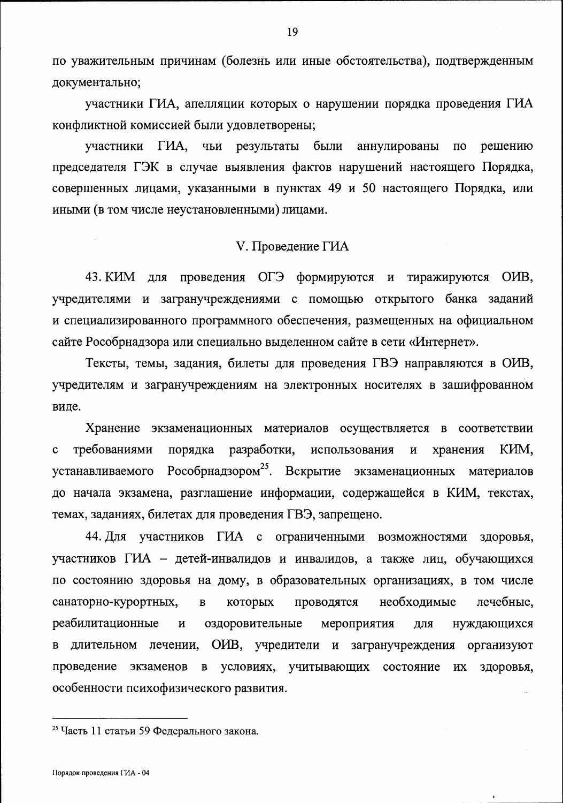по уважительным причинам (болезнь или иные обстоятельства), подтвержденным документально;

участники ГИА, апелляции которых о нарушении порядка проведения ГИА конфликтной комиссией были удовлетворены;

участники ГИА, чьи результаты были аннулированы  $\Pi$ O решению председателя ГЭК в случае выявления фактов нарушений настоящего Порядка, совершенных лицами, указанными в пунктах 49 и 50 настоящего Порядка, или иными (в том числе неустановленными) лицами.

### V. Проведение ГИА

43. КИМ для проведения ОГЭ формируются и тиражируются ОИВ, учредителями и загранучреждениями с помощью открытого банка заданий и специализированного программного обеспечения, размещенных на официальном сайте Рособрнадзора или специально выделенном сайте в сети «Интернет».

Тексты, темы, задания, билеты для проведения ГВЭ направляются в ОИВ, учредителям и загранучреждениям на электронных носителях в зашифрованном виде.

Хранение экзаменационных материалов осуществляется в соответствии разработки, требованиями порядка использования КИМ,  $\mathbf{C}$  $\mathbf H$ хранения Рособрнадзором<sup>25</sup>. Вскрытие экзаменационных материалов устанавливаемого до начала экзамена, разглашение информации, содержащейся в КИМ, текстах, темах, заданиях, билетах для проведения ГВЭ, запрещено.

44. Для участников ГИА с ограниченными возможностями здоровья, участников ГИА - детей-инвалидов и инвалидов, а также лиц, обучающихся по состоянию здоровья на дому, в образовательных организациях, в том числе санаторно-курортных, которых проводятся необходимые лечебные,  $\overline{B}$ реабилитационные оздоровительные мероприятия  $\mathbf H$ ДЛЯ нуждающихся лечении, ОИВ, учредители и загранучреждения организуют длительном  $\, {\bf B}$ проведение экзаменов условиях, учитывающих состояние  $\, {\bf B}$  $\ensuremath{\textit{HX}}\xspace$ здоровья, особенности психофизического развития.

<sup>&</sup>lt;sup>25</sup> Часть 11 статьи 59 Федерального закона.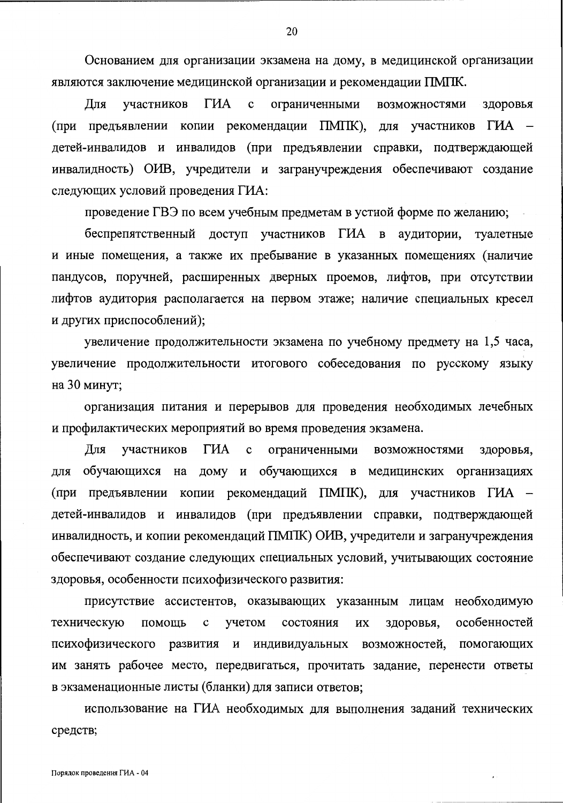Основанием для организации экзамена на дому, в медицинской организации являются заключение медицинской организации и рекомендации ПМПК.

Для участников ГИА  $\mathbf c$ ограниченными возможностями здоровья (при предъявлении копии рекомендации ПМПК), для участников ГИА детей-инвалидов и инвалидов (при предъявлении справки, подтверждающей инвалидность) ОИВ, учредители и загранучреждения обеспечивают создание следующих условий проведения ГИА:

проведение ГВЭ по всем учебным предметам в устной форме по желанию;

беспрепятственный доступ участников ГИА в аудитории, туалетные и иные помещения, а также их пребывание в указанных помещениях (наличие пандусов, поручней, расширенных дверных проемов, лифтов, при отсутствии лифтов аудитория располагается на первом этаже; наличие специальных кресел и других приспособлений);

увеличение продолжительности экзамена по учебному предмету на 1,5 часа, увеличение продолжительности итогового собеседования по русскому языку на 30 минут;

организация питания и перерывов для проведения необходимых лечебных и профилактических мероприятий во время проведения экзамена.

ГИА Для участников ограниченными возможностями здоровья,  $\mathbf c$ дому и обучающихся в медицинских организациях для обучающихся на (при предъявлении копии рекомендаций ПМПК), для участников ГИА детей-инвалидов и инвалидов (при предъявлении справки, подтверждающей инвалидность, и копии рекомендаций ПМПК) ОИВ, учредители и загранучреждения обеспечивают создание следующих специальных условий, учитывающих состояние здоровья, особенности психофизического развития:

присутствие ассистентов, оказывающих указанным лицам необходимую особенностей техническую помощь  $\mathbf c$ учетом состояния ИX здоровья, психофизического возможностей, помогающих развития и индивидуальных им занять рабочее место, передвигаться, прочитать задание, перенести ответы в экзаменационные листы (бланки) для записи ответов;

использование на ГИА необходимых для выполнения заданий технических средств;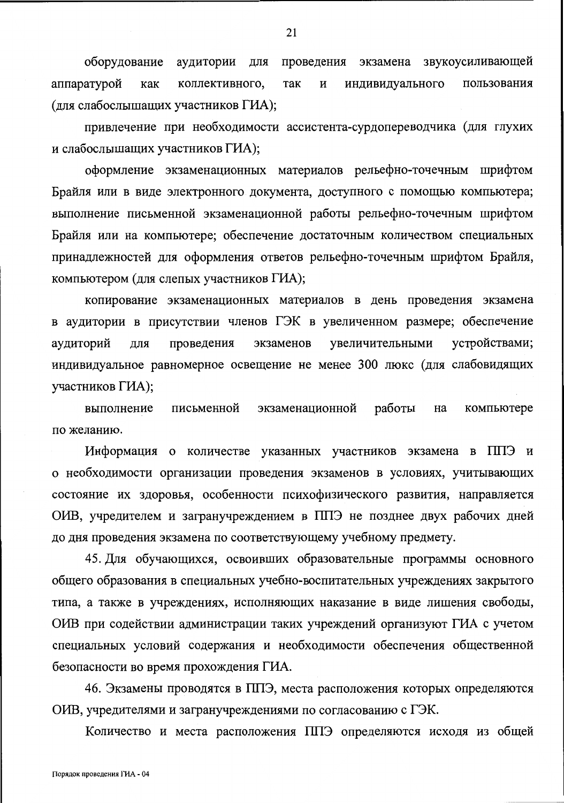оборудование проведения экзамена звукоусиливающей аудитории для коллективного, аппаратурой индивидуального пользования как так И (для слабослышащих участников ГИА);

привлечение при необходимости ассистента-сурдопереводчика (для глухих и слабослышащих участников ГИА);

оформление экзаменационных материалов рельефно-точечным шрифтом Брайля или в виде электронного документа, доступного с помощью компьютера; выполнение письменной экзаменационной работы рельефно-точечным шрифтом Брайля или на компьютере; обеспечение достаточным количеством специальных принадлежностей для оформления ответов рельефно-точечным шрифтом Брайля, компьютером (для слепых участников ГИА);

копирование экзаменационных материалов в день проведения экзамена в аудитории в присутствии членов ГЭК в увеличенном размере; обеспечение проведения увеличительными устройствами; аудиторий ДЛЯ экзаменов индивидуальное равномерное освещение не менее 300 люкс (для слабовидящих участников ГИА);

письменной экзаменационной работы компьютере выполнение на по желанию.

Информация о количестве указанных участников экзамена в ППЭ и о необходимости организации проведения экзаменов в условиях, учитывающих состояние их здоровья, особенности психофизического развития, направляется ОИВ, учредителем и загранучреждением в ППЭ не позднее двух рабочих дней до дня проведения экзамена по соответствующему учебному предмету.

45. Для обучающихся, освоивших образовательные программы основного общего образования в специальных учебно-воспитательных учреждениях закрытого типа, а также в учреждениях, исполняющих наказание в виде лишения свободы, ОИВ при содействии администрации таких учреждений организуют ГИА с учетом специальных условий содержания и необходимости обеспечения общественной безопасности во время прохождения ГИА.

46. Экзамены проводятся в ППЭ, места расположения которых определяются ОИВ, учредителями и загранучреждениями по согласованию с ГЭК.

Количество и места расположения ППЭ определяются исходя из общей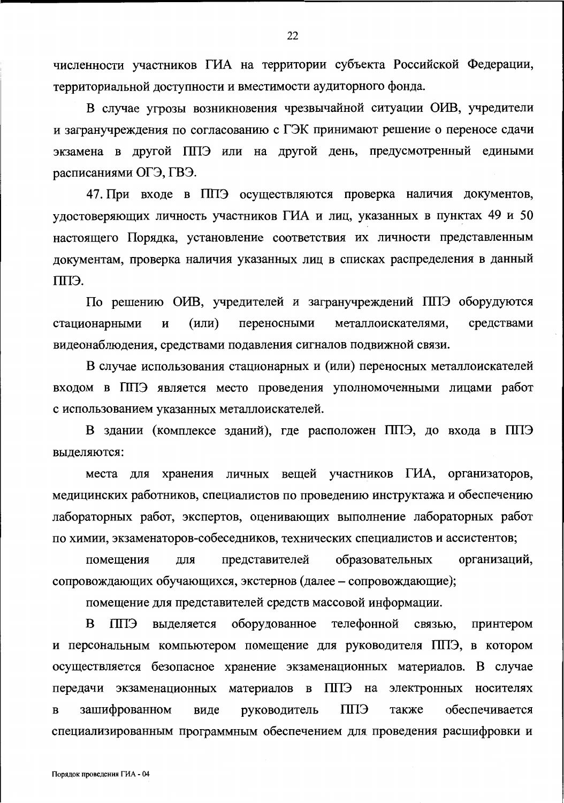численности участников ГИА на территории субъекта Российской Федерации, территориальной доступности и вместимости аудиторного фонда.

В случае угрозы возникновения чрезвычайной ситуации ОИВ, учредители и загранучреждения по согласованию с ГЭК принимают решение о переносе сдачи экзамена в другой ППЭ или на другой день, предусмотренный едиными расписаниями ОГЭ, ГВЭ.

47. При входе в ППЭ осуществляются проверка наличия документов, удостоверяющих личность участников ГИА и лиц, указанных в пунктах 49 и 50 настоящего Порядка, установление соответствия их личности представленным документам, проверка наличия указанных лиц в списках распределения в данный ППЭ.

По решению ОИВ, учредителей и загранучреждений ППЭ оборудуются стационарными И (или) переносными металлоискателями, средствами видеонаблюдения, средствами подавления сигналов подвижной связи.

В случае использования стационарных и (или) переносных металлоискателей входом в ППЭ является место проведения уполномоченными лицами работ с использованием указанных металлоискателей.

В здании (комплексе зданий), где расположен ППЭ, до входа в ППЭ выделяются:

места для хранения личных вещей участников ГИА, организаторов, медицинских работников, специалистов по проведению инструктажа и обеспечению лабораторных работ, экспертов, оценивающих выполнение лабораторных работ по химии, экзаменаторов-собеседников, технических специалистов и ассистентов;

представителей образовательных организаций, помещения ДЛЯ сопровождающих обучающихся, экстернов (далее - сопровождающие);

помещение для представителей средств массовой информации.

B оборудованное телефонной связью, принтером СПП выделяется и персональным компьютером помещение для руководителя ППЭ, в котором осуществляется безопасное хранение экзаменационных материалов. В случае передачи экзаменационных материалов в ППЭ на электронных носителях **CIIII** обеспечивается зашифрованном виде руководитель также  $\bf{B}$ специализированным программным обеспечением для проведения расшифровки и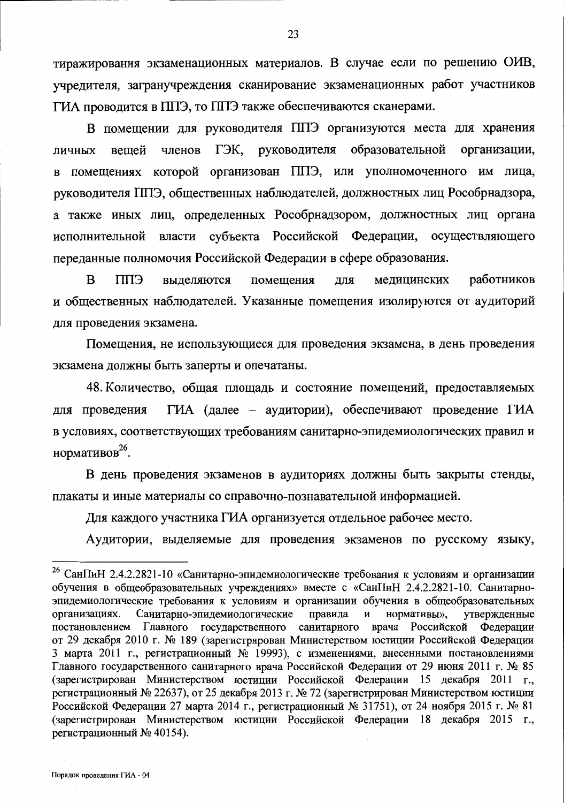тиражирования экзаменационных материалов. В случае если по решению ОИВ, учредителя, загранучреждения сканирование экзаменационных работ участников ГИА проводится в ППЭ, то ППЭ также обеспечиваются сканерами.

В помещении для руководителя ППЭ организуются места для хранения образовательной организации, членов ГЭК, руководителя вешей личных помещениях которой организован ППЭ, или уполномоченного им лица,  $\mathbf{B}$ руководителя ППЭ, общественных наблюдателей, должностных лиц Рособрнадзора, а также иных лиц, определенных Рособрнадзором, должностных лиц органа исполнительной власти субъекта Российской Федерации, осуществляющего переданные полномочия Российской Федерации в сфере образования.

работников  $\bf{B}$ **CIIII** помещения ДЛЯ медицинских выделяются и общественных наблюдателей. Указанные помещения изолируются от аудиторий для проведения экзамена.

Помещения, не использующиеся для проведения экзамена, в день проведения экзамена должны быть заперты и опечатаны.

48. Количество, общая площадь и состояние помещений, предоставляемых ГИА (далее - аудитории), обеспечивают проведение ГИА для проведения в условиях, соответствующих требованиям санитарно-эпидемиологических правил и нормативов<sup>26</sup>.

В день проведения экзаменов в аудиториях должны быть закрыты стенды, плакаты и иные материалы со справочно-познавательной информацией.

Для каждого участника ГИА организуется отдельное рабочее место.

Аудитории, выделяемые для проведения экзаменов по русскому языку,

<sup>&</sup>lt;sup>26</sup> СанПиН 2.4.2.2821-10 «Санитарно-эпидемиологические требования к условиям и организации обучения в общеобразовательных учреждениях» вместе с «СанПиН 2.4.2.2821-10. Санитарноэпидемиологические требования к условиям и организации обучения в общеобразовательных утвержденные нормативы», организациях. Санитарно-эпидемиологические правила  $\mathbf{H}$ постановлением Главного государственного санитарного врача Российской Федерации от 29 декабря 2010 г. № 189 (зарегистрирован Министерством юстиции Российской Федерации 3 марта 2011 г., регистрационный № 19993), с изменениями, внесенными постановлениями Главного государственного санитарного врача Российской Федерации от 29 июня 2011 г. № 85 (зарегистрирован Министерством юстиции Российской Федерации 15 декабря 2011 г., регистрационный № 22637), от 25 декабря 2013 г. № 72 (зарегистрирован Министерством юстиции Российской Федерации 27 марта 2014 г., регистрационный № 31751), от 24 ноября 2015 г. № 81 (зарегистрирован Министерством юстиции Российской Федерации 18 декабря 2015 г., регистрационный № 40154).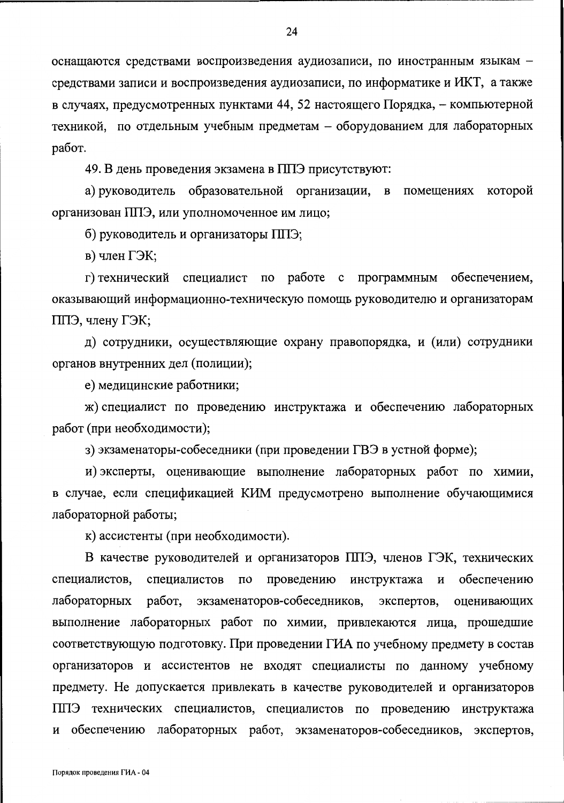оснащаются средствами воспроизведения аудиозаписи, по иностранным языкам средствами записи и воспроизведения аудиозаписи, по информатике и ИКТ, а также в случаях, предусмотренных пунктами 44, 52 настоящего Порядка, - компьютерной техникой, по отдельным учебным предметам - оборудованием для лабораторных работ.

49. В день проведения экзамена в ППЭ присутствуют:

а) руководитель образовательной организации, в помещениях которой организован ППЭ, или уполномоченное им лицо;

б) руководитель и организаторы ППЭ;

в) член ГЭК;

г) технический специалист по работе с программным обеспечением, оказывающий информационно-техническую помощь руководителю и организаторам ППЭ, члену ГЭК;

д) сотрудники, осуществляющие охрану правопорядка, и (или) сотрудники органов внутренних дел (полиции);

е) медицинские работники;

ж) специалист по проведению инструктажа и обеспечению лабораторных работ (при необходимости);

з) экзаменаторы-собеседники (при проведении ГВЭ в устной форме);

и) эксперты, оценивающие выполнение лабораторных работ по химии, в случае, если спецификацией КИМ предусмотрено выполнение обучающимися лабораторной работы;

к) ассистенты (при необходимости).

В качестве руководителей и организаторов ППЭ, членов ГЭК, технических специалистов, специалистов  $\overline{a}$ проведению инструктажа И обеспечению работ, экзаменаторов-собеседников, экспертов, лабораторных оценивающих выполнение лабораторных работ по химии, привлекаются лица, прошедшие соответствующую подготовку. При проведении ГИА по учебному предмету в состав организаторов и ассистентов не входят специалисты по данному учебному предмету. Не допускается привлекать в качестве руководителей и организаторов ППЭ технических специалистов, специалистов по проведению инструктажа и обеспечению лабораторных работ, экзаменаторов-собеседников, экспертов,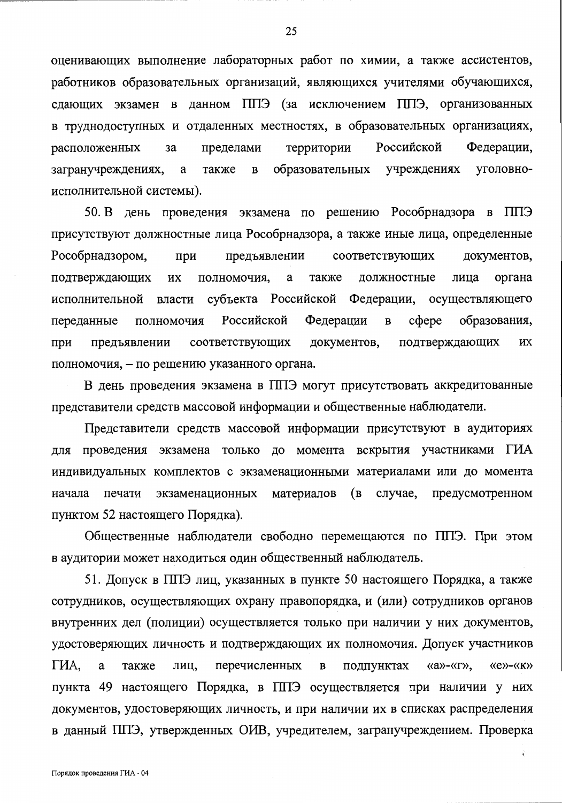оценивающих выполнение лабораторных работ по химии, а также ассистентов, работников образовательных организаций, являющихся учителями обучающихся, сдающих экзамен в данном ППЭ (за исключением ППЭ, организованных в труднодоступных и отдаленных местностях, в образовательных организациях, территории Российской Федерации, пределами расположенных за образовательных уголовноучреждениях загранучреждениях,  $\mathbf a$ также  $\mathbf{B}$ исполнительной системы).

50. В день проведения экзамена по решению Рособрнадзора в ППЭ присутствуют должностные лица Рособрнадзора, а также иные лица, определенные предъявлении соответствующих документов, Рособрнадзором, при лица органа подтверждающих ИХ полномочия, a также должностные субъекта Российской Федерации, исполнительной власти осуществляющего  $c$  $depe$ образования, полномочия Российской Федерации  $\, {\bf B}$ переданные документов, подтверждающих **HX** при предъявлении соответствующих полномочия, - по решению указанного органа.

В день проведения экзамена в ППЭ могут присутствовать аккредитованные представители средств массовой информации и общественные наблюдатели.

Представители средств массовой информации присутствуют в аудиториях для проведения экзамена только до момента вскрытия участниками ГИА индивидуальных комплектов с экзаменационными материалами или до момента (B случае, предусмотренном начала печати экзаменационных материалов пунктом 52 настоящего Порядка).

Общественные наблюдатели свободно перемещаются по ППЭ. При этом в аудитории может находиться один общественный наблюдатель.

51. Допуск в ППЭ лиц, указанных в пункте 50 настоящего Порядка, а также сотрудников, осуществляющих охрану правопорядка, и (или) сотрудников органов внутренних дел (полиции) осуществляется только при наличии у них документов, удостоверяющих личность и подтверждающих их полномочия. Допуск участников ГИА, перечисленных подпунктах  $\langle\langle a\rangle\rangle$ - $\langle\langle \Gamma \rangle\rangle$ ,  $\langle\langle e \rangle\rangle - \langle\langle K \rangle\rangle$ a также лиц,  $\, {\bf B}$ пункта 49 настоящего Порядка, в ППЭ осуществляется при наличии у них документов, удостоверяющих личность, и при наличии их в списках распределения в данный ППЭ, утвержденных ОИВ, учредителем, загранучреждением. Проверка

25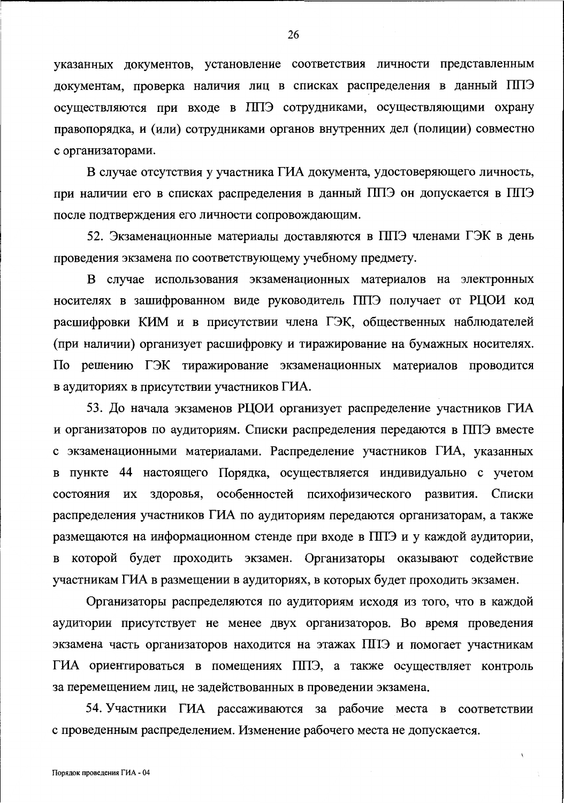указанных документов, установление соответствия личности представленным документам, проверка наличия лиц в списках распределения в данный ППЭ осуществляются при входе в ППЭ сотрудниками, осуществляющими охрану правопорядка, и (или) сотрудниками органов внутренних дел (полиции) совместно с организаторами.

В случае отсутствия у участника ГИА документа, удостоверяющего личность, при наличии его в списках распределения в данный ППЭ он допускается в ППЭ после подтверждения его личности сопровождающим.

52. Экзаменационные материалы доставляются в ППЭ членами ГЭК в день проведения экзамена по соответствующему учебному предмету.

В случае использования экзаменационных материалов на электронных носителях в зашифрованном виде руководитель ППЭ получает от РЦОИ код расшифровки КИМ и в присутствии члена ГЭК, общественных наблюдателей (при наличии) организует расшифровку и тиражирование на бумажных носителях. По решению ГЭК тиражирование экзаменационных материалов проводится в аудиториях в присутствии участников ГИА.

53. До начала экзаменов РЦОИ организует распределение участников ГИА и организаторов по аудиториям. Списки распределения передаются в ППЭ вместе с экзаменационными материалами. Распределение участников ГИА, указанных в пункте 44 настоящего Порядка, осуществляется индивидуально с учетом состояния их здоровья, особенностей психофизического развития. Списки распределения участников ГИА по аудиториям передаются организаторам, а также размещаются на информационном стенде при входе в ППЭ и у каждой аудитории, в которой будет проходить экзамен. Организаторы оказывают содействие участникам ГИА в размещении в аудиториях, в которых будет проходить экзамен.

Организаторы распределяются по аудиториям исходя из того, что в каждой аудитории присутствует не менее двух организаторов. Во время проведения экзамена часть организаторов находится на этажах ППЭ и помогает участникам ГИА ориентироваться в помещениях ППЭ, а также осуществляет контроль за перемещением лиц, не задействованных в проведении экзамена.

54. Участники ГИА рассаживаются за рабочие места в соответствии с проведенным распределением. Изменение рабочего места не допускается.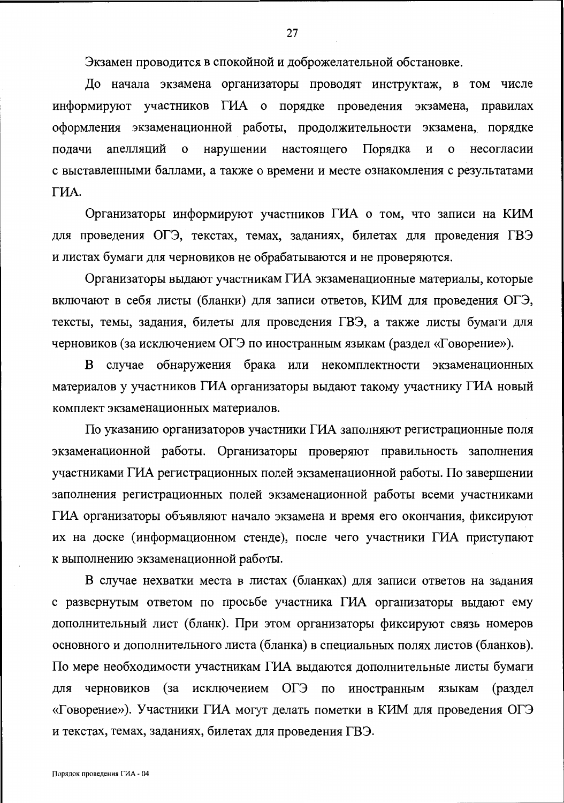Экзамен проводится в спокойной и доброжелательной обстановке.

До начала экзамена организаторы проводят инструктаж, в том числе информируют участников ГИА о порядке проведения экзамена, правилах оформления экзаменационной работы, продолжительности экзамена, порядке апелляций нарушении настоящего Порядка подачи  $\mathbf{o}$  $\boldsymbol{\mathrm{M}}$ несогласии  $\mathbf{o}$ с выставленными баллами, а также о времени и месте ознакомления с результатами ГИА.

Организаторы информируют участников ГИА о том, что записи на КИМ для проведения ОГЭ, текстах, темах, заданиях, билетах для проведения ГВЭ и листах бумаги для черновиков не обрабатываются и не проверяются.

Организаторы выдают участникам ГИА экзаменационные материалы, которые включают в себя листы (бланки) для записи ответов, КИМ для проведения ОГЭ, тексты, темы, задания, билеты для проведения ГВЭ, а также листы бумаги для черновиков (за исключением ОГЭ по иностранным языкам (раздел «Говорение»).

В случае обнаружения брака или некомплектности экзаменационных материалов у участников ГИА организаторы выдают такому участнику ГИА новый комплект экзаменационных материалов.

По указанию организаторов участники ГИА заполняют регистрационные поля экзаменационной работы. Организаторы проверяют правильность заполнения участниками ГИА регистрационных полей экзаменационной работы. По завершении заполнения регистрационных полей экзаменационной работы всеми участниками ГИА организаторы объявляют начало экзамена и время его окончания, фиксируют их на доске (информационном стенде), после чего участники ГИА приступают к выполнению экзаменационной работы.

В случае нехватки места в листах (бланках) для записи ответов на задания с развернутым ответом по просьбе участника ГИА организаторы выдают ему дополнительный лист (бланк). При этом организаторы фиксируют связь номеров основного и дополнительного листа (бланка) в специальных полях листов (бланков). По мере необходимости участникам ГИА выдаются дополнительные листы бумаги ДЛЯ черновиков (за исключением ОГЭ  $\Pi{\rm O}$ иностранным языкам (раздел «Говорение»). Участники ГИА могут делать пометки в КИМ для проведения ОГЭ и текстах, темах, заданиях, билетах для проведения ГВЭ.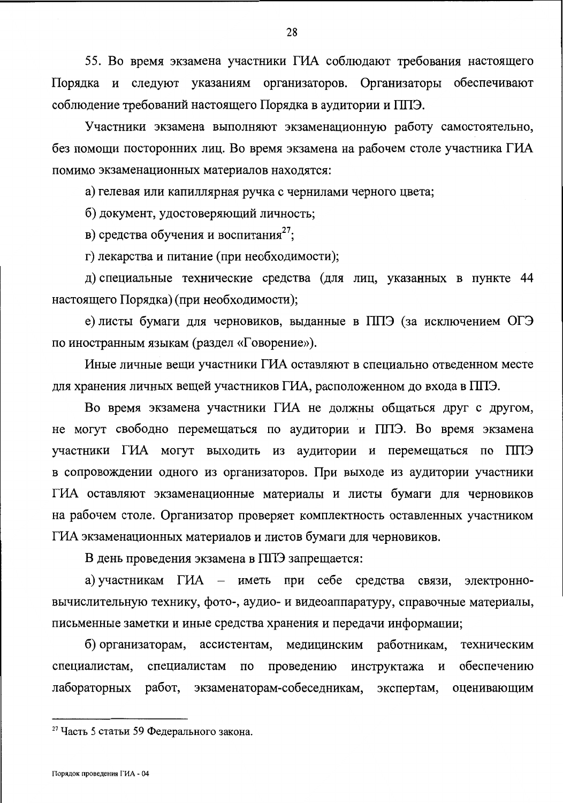55. Во время экзамена участники ГИА соблюдают требования настоящего Порядка и следуют указаниям организаторов. Организаторы обеспечивают соблюдение требований настоящего Порядка в аудитории и ППЭ.

Участники экзамена выполняют экзаменационную работу самостоятельно, без помощи посторонних лиц. Во время экзамена на рабочем столе участника ГИА помимо экзаменационных материалов находятся:

а) гелевая или капиллярная ручка с чернилами черного цвета;

б) документ, удостоверяющий личность;

в) средства обучения и воспитания<sup>27</sup>;

г) лекарства и питание (при необходимости);

д) специальные технические средства (для лиц, указанных в пункте 44 настоящего Порядка) (при необходимости);

е) листы бумаги для черновиков, выданные в ППЭ (за исключением ОГЭ по иностранным языкам (раздел «Говорение»).

Иные личные вещи участники ГИА оставляют в специально отведенном месте для хранения личных вещей участников ГИА, расположенном до входа в ППЭ.

Во время экзамена участники ГИА не должны общаться друг с другом, не могут свободно перемещаться по аудитории и ППЭ. Во время экзамена участники ГИА могут выходить из аудитории и перемещаться по ППЭ в сопровождении одного из организаторов. При выходе из аудитории участники ГИА оставляют экзаменационные материалы и листы бумаги для черновиков на рабочем столе. Организатор проверяет комплектность оставленных участником ГИА экзаменационных материалов и листов бумаги для черновиков.

В день проведения экзамена в ППЭ запрещается:

а) участникам ГИА – иметь при себе средства связи, электронновычислительную технику, фото-, аудио- и видеоаппаратуру, справочные материалы, письменные заметки и иные средства хранения и передачи информации;

работникам, б) организаторам, ассистентам, медицинским техническим инструктажа и обеспечению специалистам,  $\Pi$ O проведению специалистам работ, экзаменаторам-собеседникам, лабораторных экспертам, оценивающим

<sup>27</sup> Часть 5 статьи 59 Федерального закона.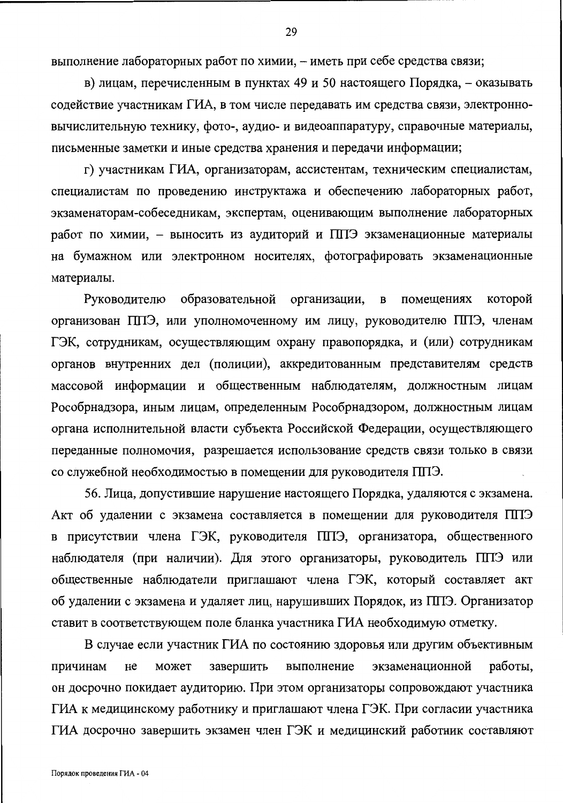выполнение лабораторных работ по химии, - иметь при себе средства связи;

в) лицам, перечисленным в пунктах 49 и 50 настоящего Порядка, - оказывать содействие участникам ГИА, в том числе передавать им средства связи, электронновычислительную технику, фото-, аудио- и видеоаппаратуру, справочные материалы, письменные заметки и иные средства хранения и передачи информации;

г) участникам ГИА, организаторам, ассистентам, техническим специалистам, специалистам по проведению инструктажа и обеспечению лабораторных работ, экзаменаторам-собеседникам, экспертам, оценивающим выполнение лабораторных работ по химии, - выносить из аудиторий и ППЭ экзаменационные материалы на бумажном или электронном носителях, фотографировать экзаменационные материалы.

Руководителю образовательной организации,  $\overline{B}$ помещениях которой организован ППЭ, или уполномоченному им лицу, руководителю ППЭ, членам ГЭК, сотрудникам, осуществляющим охрану правопорядка, и (или) сотрудникам органов внутренних дел (полиции), аккредитованным представителям средств массовой информации и общественным наблюдателям, должностным лицам Рособрнадзора, иным лицам, определенным Рособрнадзором, должностным лицам органа исполнительной власти субъекта Российской Федерации, осуществляющего переданные полномочия, разрешается использование средств связи только в связи со служебной необходимостью в помещении для руководителя ППЭ.

56. Лица, допустившие нарушение настоящего Порядка, удаляются с экзамена. Акт об удалении с экзамена составляется в помещении для руководителя ППЭ в присутствии члена ГЭК, руководителя ППЭ, организатора, общественного наблюдателя (при наличии). Для этого организаторы, руководитель ППЭ или общественные наблюдатели приглашают члена ГЭК, который составляет акт об удалении с экзамена и удаляет лиц, нарушивших Порядок, из ППЭ. Организатор ставит в соответствующем поле бланка участника ГИА необходимую отметку.

В случае если участник ГИА по состоянию здоровья или другим объективным завершить выполнение экзаменационной работы, причинам He может он досрочно покидает аудиторию. При этом организаторы сопровождают участника ГИА к медицинскому работнику и приглашают члена ГЭК. При согласии участника ГИА досрочно завершить экзамен член ГЭК и медицинский работник составляют

29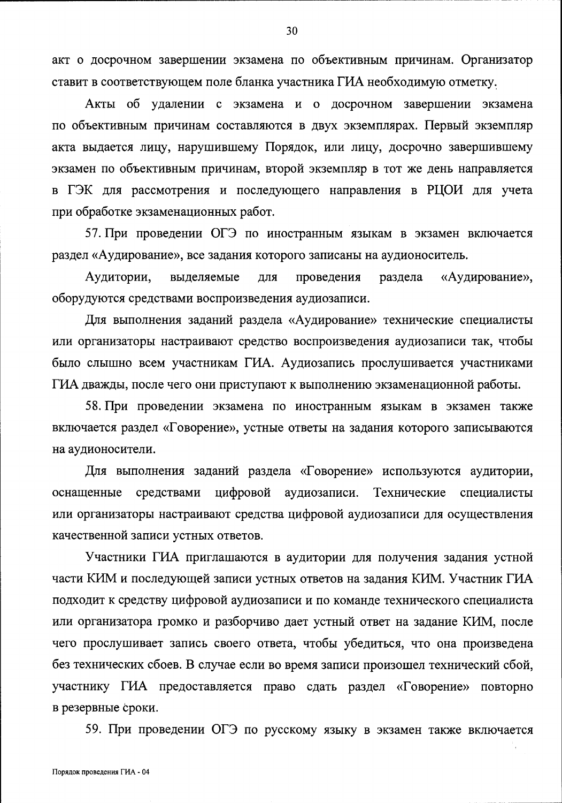акт о досрочном завершении экзамена по объективным причинам. Организатор ставит в соответствующем поле бланка участника ГИА необходимую отметку.

Акты об удалении с экзамена и о досрочном завершении экзамена по объективным причинам составляются в двух экземплярах. Первый экземпляр акта выдается лицу, нарушившему Порядок, или лицу, досрочно завершившему экзамен по объективным причинам, второй экземпляр в тот же день направляется в ГЭК для рассмотрения и последующего направления в РЦОИ для учета при обработке экзаменационных работ.

57. При проведении ОГЭ по иностранным языкам в экзамен включается раздел «Аудирование», все задания которого записаны на аудионоситель.

Аудитории, выделяемые для проведения раздела «Аудирование», оборудуются средствами воспроизведения аудиозаписи.

Для выполнения заданий раздела «Аудирование» технические специалисты или организаторы настраивают средство воспроизведения аудиозаписи так, чтобы было слышно всем участникам ГИА. Аудиозапись прослушивается участниками ГИА дважды, после чего они приступают к выполнению экзаменационной работы.

58. При проведении экзамена по иностранным языкам в экзамен также включается раздел «Говорение», устные ответы на задания которого записываются на аудионосители.

Для выполнения заданий раздела «Говорение» используются аудитории, цифровой аудиозаписи. Технические оснащенные средствами специалисты или организаторы настраивают средства цифровой аудиозаписи для осуществления качественной записи устных ответов.

Участники ГИА приглашаются в аудитории для получения задания устной части КИМ и последующей записи устных ответов на задания КИМ. Участник ГИА подходит к средству цифровой аудиозаписи и по команде технического специалиста или организатора громко и разборчиво дает устный ответ на задание КИМ, после чего прослушивает запись своего ответа, чтобы убедиться, что она произведена без технических сбоев. В случае если во время записи произошел технический сбой, участнику ГИА предоставляется право сдать раздел «Говорение» повторно в резервные сроки.

59. При проведении ОГЭ по русскому языку в экзамен также включается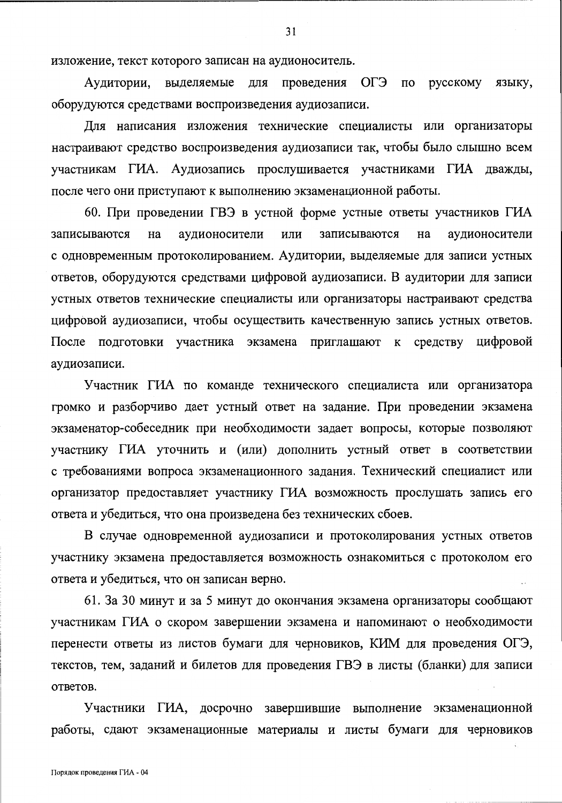изложение, текст которого записан на аудионоситель.

проведения ОГЭ по русскому Аудитории, выделяемые для языку, оборудуются средствами воспроизведения аудиозаписи.

Для написания изложения технические специалисты или организаторы настраивают средство воспроизведения аудиозаписи так, чтобы было слышно всем участникам ГИА. Аудиозапись прослушивается участниками ГИА дважды, после чего они приступают к выполнению экзаменационной работы.

60. При проведении ГВЭ в устной форме устные ответы участников ГИА или записываются на аудионосители записываются на аудионосители с одновременным протоколированием. Аудитории, выделяемые для записи устных ответов, оборудуются средствами цифровой аудиозаписи. В аудитории для записи устных ответов технические специалисты или организаторы настраивают средства цифровой аудиозаписи, чтобы осуществить качественную запись устных ответов. После подготовки участника экзамена приглашают к средству цифровой аудиозаписи.

Участник ГИА по команде технического специалиста или организатора громко и разборчиво дает устный ответ на задание. При проведении экзамена экзаменатор-собеседник при необходимости задает вопросы, которые позволяют участнику ГИА уточнить и (или) дополнить устный ответ в соответствии с требованиями вопроса экзаменационного задания. Технический специалист или организатор предоставляет участнику ГИА возможность прослушать запись его ответа и убедиться, что она произведена без технических сбоев.

В случае одновременной аудиозаписи и протоколирования устных ответов участнику экзамена предоставляется возможность ознакомиться с протоколом его ответа и убедиться, что он записан верно.

61. За 30 минут и за 5 минут до окончания экзамена организаторы сообщают участникам ГИА о скором завершении экзамена и напоминают о необходимости перенести ответы из листов бумаги для черновиков, КИМ для проведения ОГЭ, текстов, тем, заданий и билетов для проведения ГВЭ в листы (бланки) для записи ответов.

Участники ГИА, досрочно завершившие выполнение экзаменационной работы, сдают экзаменационные материалы и листы бумаги для черновиков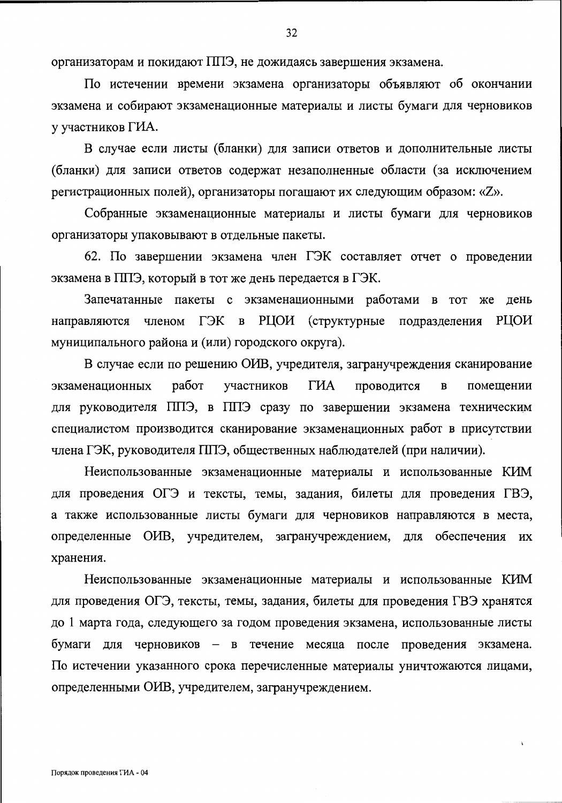организаторам и покидают ППЭ, не дожидаясь завершения экзамена.

По истечении времени экзамена организаторы объявляют об окончании экзамена и собирают экзаменационные материалы и листы бумаги для черновиков у участников ГИА.

В случае если листы (бланки) для записи ответов и дополнительные листы (бланки) для записи ответов содержат незаполненные области (за исключением регистрационных полей), организаторы погашают их следующим образом: «Z».

Собранные экзаменационные материалы и листы бумаги для черновиков организаторы упаковывают в отдельные пакеты.

62. По завершении экзамена член ГЭК составляет отчет о проведении экзамена в ППЭ, который в тот же день передается в ГЭК.

Запечатанные пакеты с экзаменационными работами в тот же день РЦОИ направляются членом ГЭК в РЦОИ (структурные подразделения муниципального района и (или) городского округа).

В случае если по решению ОИВ, учредителя, загранучреждения сканирование ГИА работ участников проводится  $\mathbf B$ помещении экзаменационных для руководителя ППЭ, в ППЭ сразу по завершении экзамена техническим специалистом производится сканирование экзаменационных работ в присутствии члена ГЭК, руководителя ППЭ, общественных наблюдателей (при наличии).

Неиспользованные экзаменационные материалы и использованные КИМ для проведения ОГЭ и тексты, темы, задания, билеты для проведения ГВЭ, а также использованные листы бумаги для черновиков направляются в места, определенные ОИВ, учредителем, загранучреждением, для обеспечения их хранения.

Неиспользованные экзаменационные материалы и использованные КИМ для проведения ОГЭ, тексты, темы, задания, билеты для проведения ГВЭ хранятся до 1 марта года, следующего за годом проведения экзамена, использованные листы бумаги для черновиков - в течение месяца после проведения экзамена. По истечении указанного срока перечисленные материалы уничтожаются лицами, определенными ОИВ, учредителем, загранучреждением.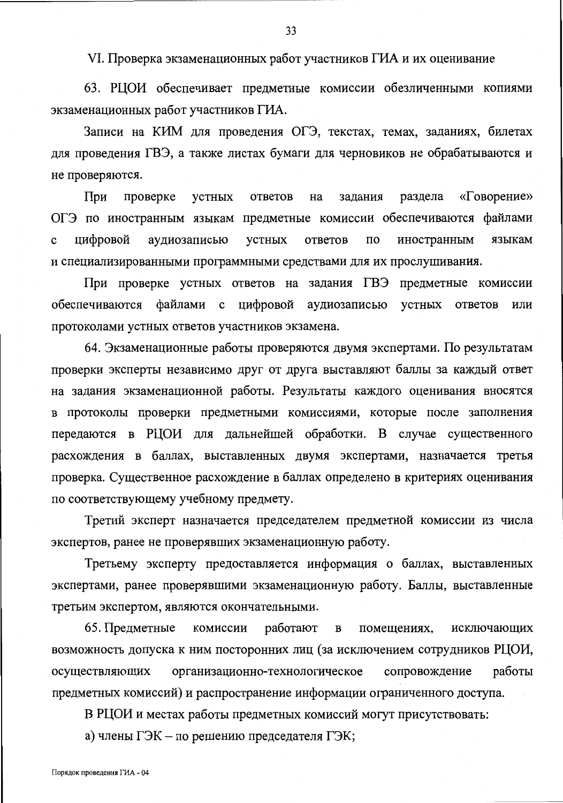VI. Проверка экзаменационных работ участников ГИА и их оценивание

63. РЦОИ обеспечивает предметные комиссии обезличенными копиями экзаменационных работ участников ГИА.

Записи на КИМ для проведения ОГЭ, текстах, темах, заданиях, билетах для проведения ГВЭ, а также листах бумаги для черновиков не обрабатываются и не проверяются.

«Говорение» При проверке устных ответов на задания раздела ОГЭ по иностранным языкам предметные комиссии обеспечиваются файлами цифровой аудиозаписью ответов иностранным устных  $\overline{10}$ языкам  $\mathbf c$ и специализированными программными средствами для их прослушивания.

При проверке устных ответов на задания ГВЭ предметные комиссии обеспечиваются файлами с цифровой аудиозаписью устных ответов ИЛИ протоколами устных ответов участников экзамена.

64. Экзаменационные работы проверяются двумя экспертами. По результатам проверки эксперты независимо друг от друга выставляют баллы за каждый ответ на задания экзаменационной работы. Результаты каждого оценивания вносятся в протоколы проверки предметными комиссиями, которые после заполнения передаются в РЦОИ для дальнейшей обработки. В случае существенного расхождения в баллах, выставленных двумя экспертами, назначается третья проверка. Существенное расхождение в баллах определено в критериях оценивания по соответствующему учебному предмету.

Третий эксперт назначается председателем предметной комиссии из числа экспертов, ранее не проверявших экзаменационную работу.

Третьему эксперту предоставляется информация о баллах, выставленных экспертами, ранее проверявшими экзаменационную работу. Баллы, выставленные третьим экспертом, являются окончательными.

65. Предметные работают комиссии  $\, {\bf B}$ помещениях, исключающих возможность допуска к ним посторонних лиц (за исключением сотрудников РЦОИ, осуществляющих организационно-технологическое сопровождение работы предметных комиссий) и распространение информации ограниченного доступа.

В РЦОИ и местах работы предметных комиссий могут присутствовать:

а) члены ГЭК – по решению председателя ГЭК;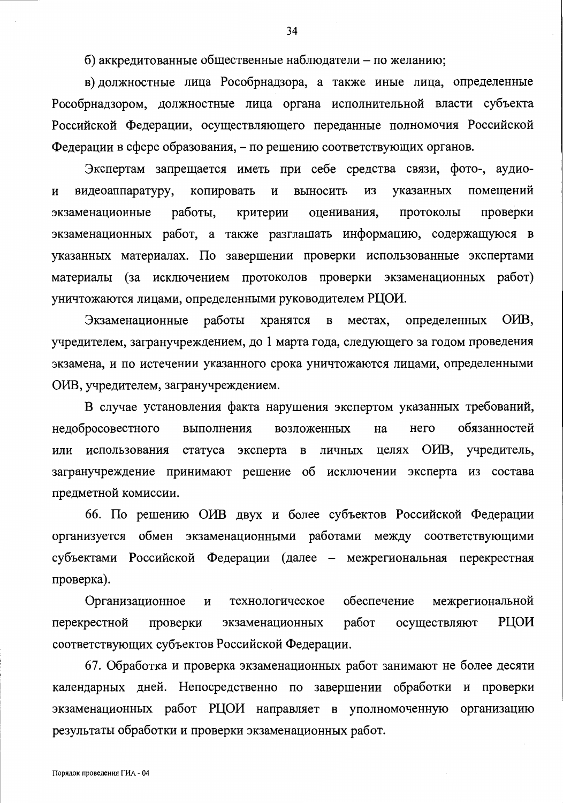б) аккредитованные общественные наблюдатели – по желанию;

в) должностные лица Рособрнадзора, а также иные лица, определенные Рособрнадзором, должностные лица органа исполнительной власти субъекта Российской Федерации, осуществляющего переданные полномочия Российской Федерации в сфере образования, – по решению соответствующих органов.

Экспертам запрещается иметь при себе средства связи, фото-, аудиопомещений копировать И3 указанных видеоаппаратуру,  $\boldsymbol{\mathrm{M}}$ выносить  $\mathbf H$ экзаменационные работы, критерии оценивания, протоколы проверки экзаменационных работ, а также разглашать информацию, содержащуюся в указанных материалах. По завершении проверки использованные экспертами материалы (за исключением протоколов проверки экзаменационных работ) уничтожаются лицами, определенными руководителем РЦОИ.

ОИВ. определенных Экзаменационные работы хранятся  $\overline{B}$ местах, учредителем, загранучреждением, до 1 марта года, следующего за годом проведения экзамена, и по истечении указанного срока уничтожаются лицами, определенными ОИВ, учредителем, загранучреждением.

В случае установления факта нарушения экспертом указанных требований, обязанностей недобросовестного возложенных на него выполнения ОИВ, учредитель, статуса эксперта в личных целях использования или загранучреждение принимают решение об исключении эксперта из состава предметной комиссии.

66. По решению ОИВ двух и более субъектов Российской Федерации организуется обмен экзаменационными работами между соответствующими субъектами Российской Федерации (далее - межрегиональная перекрестная проверка).

Организационное И технологическое обеспечение межрегиональной РЦОИ перекрестной проверки работ осуществляют экзаменационных соответствующих субъектов Российской Федерации.

67. Обработка и проверка экзаменационных работ занимают не более десяти календарных дней. Непосредственно по завершении обработки и проверки экзаменационных работ РЦОИ направляет в уполномоченную организацию результаты обработки и проверки экзаменационных работ.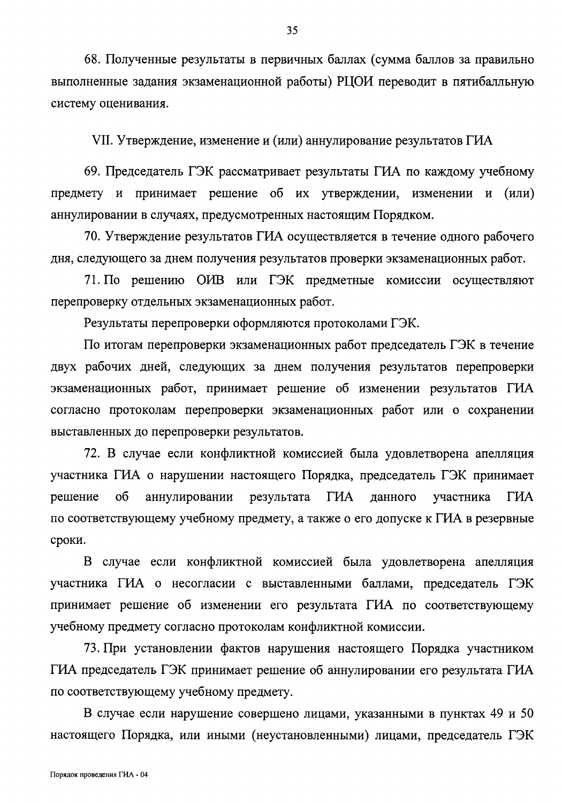68. Полученные результаты в первичных баллах (сумма баллов за правильно выполненные задания экзаменационной работы) РЦОИ переводит в пятибалльную систему оценивания.

VII. Утверждение, изменение и (или) аннулирование результатов ГИА

69. Председатель ГЭК рассматривает результаты ГИА по каждому учебному предмету и принимает решение об их утверждении, изменении и (или) аннулировании в случаях, предусмотренных настоящим Порядком.

70. Утверждение результатов ГИА осуществляется в течение одного рабочего дня, следующего за днем получения результатов проверки экзаменационных работ.

71. По решению ОИВ или ГЭК предметные комиссии осуществляют перепроверку отдельных экзаменационных работ.

Результаты перепроверки оформляются протоколами ГЭК.

По итогам перепроверки экзаменационных работ председатель ГЭК в течение двух рабочих дней, следующих за днем получения результатов перепроверки экзаменационных работ, принимает решение об изменении результатов ГИА согласно протоколам перепроверки экзаменационных работ или о сохранении выставленных до перепроверки результатов.

72. В случае если конфликтной комиссией была удовлетворена апелляция участника ГИА о нарушении настоящего Порядка, председатель ГЭК принимает решение об аннулировании ГИА ГИА результата данного участника по соответствующему учебному предмету, а также о его допуске к ГИА в резервные сроки.

В случае если конфликтной комиссией была удовлетворена апелляция участника ГИА о несогласии с выставленными баллами, председатель ГЭК принимает решение об изменении его результата ГИА по соответствующему учебному предмету согласно протоколам конфликтной комиссии.

73. При установлении фактов нарушения настоящего Порядка участником ГИА председатель ГЭК принимает решение об аннулировании его результата ГИА по соответствующему учебному предмету.

В случае если нарушение совершено лицами, указанными в пунктах 49 и 50 настоящего Порядка, или иными (неустановленными) лицами, председатель ГЭК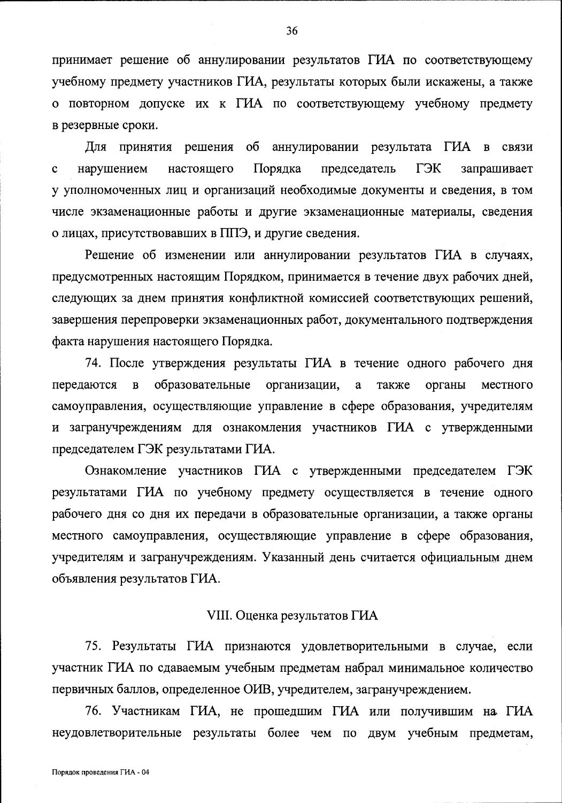принимает решение об аннулировании результатов ГИА по соответствующему учебному предмету участников ГИА, результаты которых были искажены, а также о повторном допуске их к ГИА по соответствующему учебному предмету в резервные сроки.

аннулировании результата ГИА Для принятия решения  $\sigma$  $\, {\bf B}$ связи Порядка председатель ГЭК нарушением настоящего запрашивает  $\mathbf{C}$ у уполномоченных лиц и организаций необходимые документы и сведения, в том числе экзаменационные работы и другие экзаменационные материалы, сведения о лицах, присутствовавших в ППЭ, и другие сведения.

Решение об изменении или аннулировании результатов ГИА в случаях, предусмотренных настоящим Порядком, принимается в течение двух рабочих дней, следующих за днем принятия конфликтной комиссией соответствующих решений, завершения перепроверки экзаменационных работ, документального подтверждения факта нарушения настоящего Порядка.

74. После утверждения результаты ГИА в течение одного рабочего дня  $\overline{\mathbf{B}}$ образовательные организации, передаются  $\mathbf{a}$ также органы местного самоуправления, осуществляющие управление в сфере образования, учредителям и загранучреждениям для ознакомления участников ГИА с утвержденными председателем ГЭК результатами ГИА.

Ознакомление участников ГИА с утвержденными председателем ГЭК результатами ГИА по учебному предмету осуществляется в течение одного рабочего дня со дня их передачи в образовательные организации, а также органы местного самоуправления, осуществляющие управление в сфере образования, учредителям и загранучреждениям. Указанный день считается официальным днем объявления результатов ГИА.

### VIII. Оценка результатов ГИА

75. Результаты ГИА признаются удовлетворительными в случае, если участник ГИА по сдаваемым учебным предметам набрал минимальное количество первичных баллов, определенное ОИВ, учредителем, загранучреждением.

76. Участникам ГИА, не прошедшим ГИА или получившим на ГИА неудовлетворительные результаты более чем по двум учебным предметам,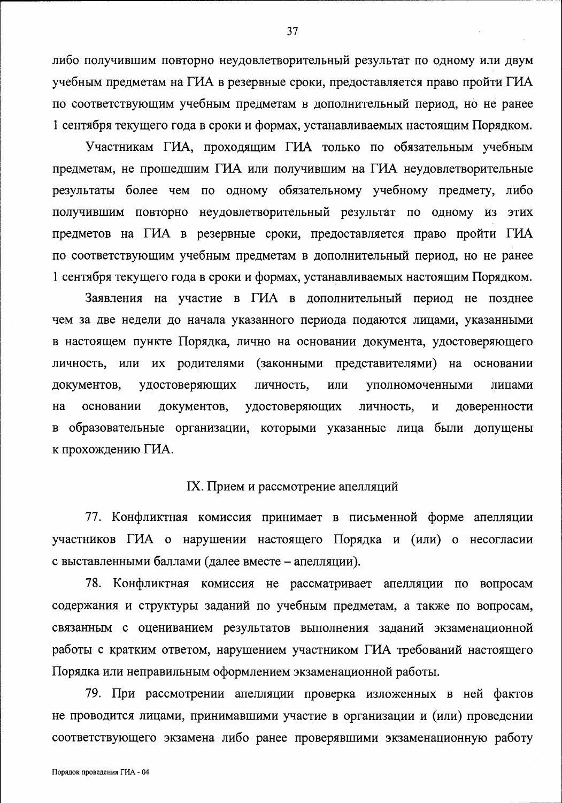либо получившим повторно неудовлетворительный результат по одному или двум учебным предметам на ГИА в резервные сроки, предоставляется право пройти ГИА по соответствующим учебным предметам в дополнительный период, но не ранее 1 сентября текущего года в сроки и формах, устанавливаемых настоящим Порядком.

Участникам ГИА, проходящим ГИА только по обязательным учебным предметам, не прошедшим ГИА или получившим на ГИА неудовлетворительные результаты более чем по одному обязательному учебному предмету, либо получившим повторно неудовлетворительный результат по одному из этих предметов на ГИА в резервные сроки, предоставляется право пройти ГИА по соответствующим учебным предметам в дополнительный период, но не ранее 1 сентября текущего года в сроки и формах, устанавливаемых настоящим Порядком.

Заявления на участие в ГИА в дополнительный период не позднее чем за две недели до начала указанного периода подаются лицами, указанными в настоящем пункте Порядка, лично на основании документа, удостоверяющего личность, или их родителями (законными представителями) на основании документов, удостоверяющих личность, ИЛИ уполномоченными лицами основании документов, удостоверяющих личность, доверенности на в образовательные организации, которыми указанные лица были допущены к прохождению ГИА.

## IX. Прием и рассмотрение апелляций

77. Конфликтная комиссия принимает в письменной форме апелляции участников ГИА о нарушении настоящего Порядка и (или) о несогласии с выставленными баллами (далее вместе - апелляции).

78. Конфликтная комиссия не рассматривает апелляции по вопросам содержания и структуры заданий по учебным предметам, а также по вопросам, связанным с оцениванием результатов выполнения заданий экзаменационной работы с кратким ответом, нарушением участником ГИА требований настоящего Порядка или неправильным оформлением экзаменационной работы.

79. При рассмотрении апелляции проверка изложенных в ней фактов не проводится лицами, принимавшими участие в организации и (или) проведении соответствующего экзамена либо ранее проверявшими экзаменационную работу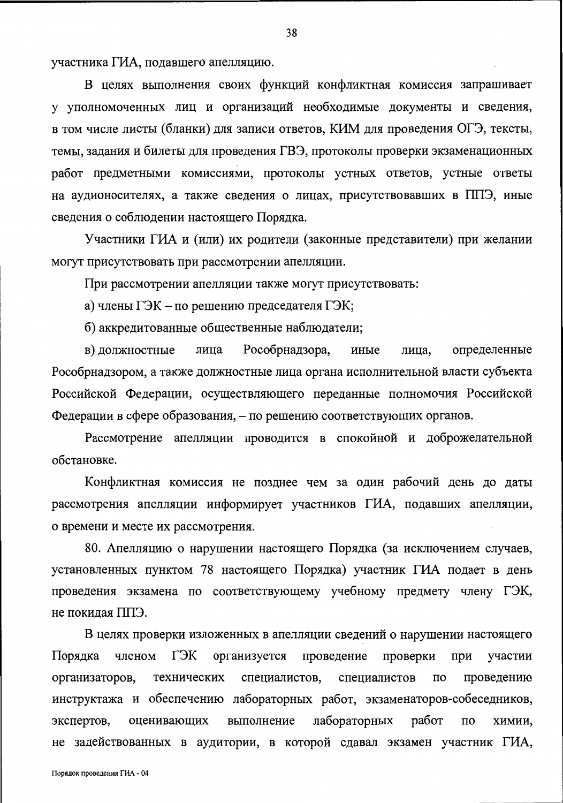участника ГИА, подавшего апелляцию.

В целях выполнения своих функций конфликтная комиссия запрашивает у уполномоченных лиц и организаций необходимые документы и сведения, в том числе листы (бланки) для записи ответов, КИМ для проведения ОГЭ, тексты, темы, задания и билеты для проведения ГВЭ, протоколы проверки экзаменационных работ предметными комиссиями, протоколы устных ответов, устные ответы на аудионосителях, а также сведения о лицах, присутствовавших в ППЭ, иные сведения о соблюдении настоящего Порядка.

Участники ГИА и (или) их родители (законные представители) при желании могут присутствовать при рассмотрении апелляции.

При рассмотрении апелляции также могут присутствовать:

а) члены ГЭК – по решению председателя ГЭК;

б) аккредитованные общественные наблюдатели;

Рособрнадзора, определенные в) должностные лица иные лица, Рособрнадзором, а также должностные лица органа исполнительной власти субъекта Российской Федерации, осуществляющего переданные полномочия Российской Федерации в сфере образования, – по решению соответствующих органов.

Рассмотрение апелляции проводится в спокойной и доброжелательной обстановке.

Конфликтная комиссия не позднее чем за один рабочий день до даты рассмотрения апелляции информирует участников ГИА, подавших апелляции, о времени и месте их рассмотрения.

80. Апелляцию о нарушении настоящего Порядка (за исключением случаев, установленных пунктом 78 настоящего Порядка) участник ГИА подает в день проведения экзамена по соответствующему учебному предмету члену ГЭК, не покидая ППЭ.

В целях проверки изложенных в апелляции сведений о нарушении настоящего Порядка членом ГЭК организуется проведение проверки при участии организаторов, технических специалистов, специалистов  $\Pi{\rm O}$ проведению инструктажа и обеспечению лабораторных работ, экзаменаторов-собеседников, лабораторных работ экспертов, оценивающих выполнение  $\Pi\mathbf{O}$ химии. не задействованных в аудитории, в которой сдавал экзамен участник ГИА,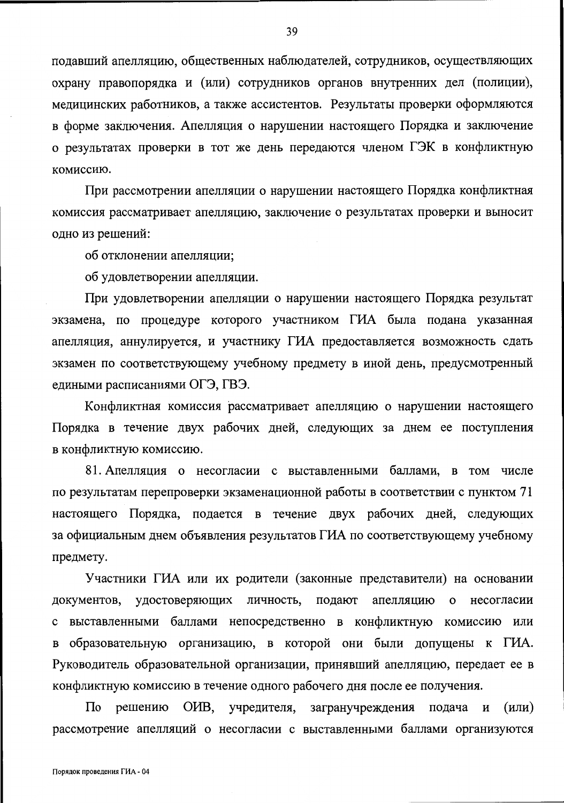подавший апелляцию, общественных наблюдателей, сотрудников, осуществляющих охрану правопорядка и (или) сотрудников органов внутренних дел (полиции), медицинских работников, а также ассистентов. Результаты проверки оформляются в форме заключения. Апелляция о нарушении настоящего Порядка и заключение о результатах проверки в тот же день передаются членом ГЭК в конфликтную комиссию.

При рассмотрении апелляции о нарушении настоящего Порядка конфликтная комиссия рассматривает апелляцию, заключение о результатах проверки и выносит одно из решений:

об отклонении апелляции;

об удовлетворении апелляции.

При удовлетворении апелляции о нарушении настоящего Порядка результат экзамена, по процедуре которого участником ГИА была подана указанная апелляция, аннулируется, и участнику ГИА предоставляется возможность сдать экзамен по соответствующему учебному предмету в иной день, предусмотренный едиными расписаниями ОГЭ, ГВЭ.

Конфликтная комиссия рассматривает апелляцию о нарушении настоящего Порядка в течение двух рабочих дней, следующих за днем ее поступления в конфликтную комиссию.

81. Апелляция о несогласии с выставленными баллами, в том числе по результатам перепроверки экзаменационной работы в соответствии с пунктом 71 настоящего Порядка, подается в течение двух рабочих дней, следующих за официальным днем объявления результатов ГИА по соответствующему учебному предмету.

Участники ГИА или их родители (законные представители) на основании документов, удостоверяющих личность, подают апелляцию  $\mathbf{o}$ несогласии с выставленными баллами непосредственно в конфликтную комиссию или в образовательную организацию, в которой они были допущены к ГИА. Руководитель образовательной организации, принявший апелляцию, передает ее в конфликтную комиссию в течение одного рабочего дня после ее получения.

 $(MJ)$ По решению OHB, учредителя, загранучреждения подача и рассмотрение апелляций о несогласии с выставленными баллами организуются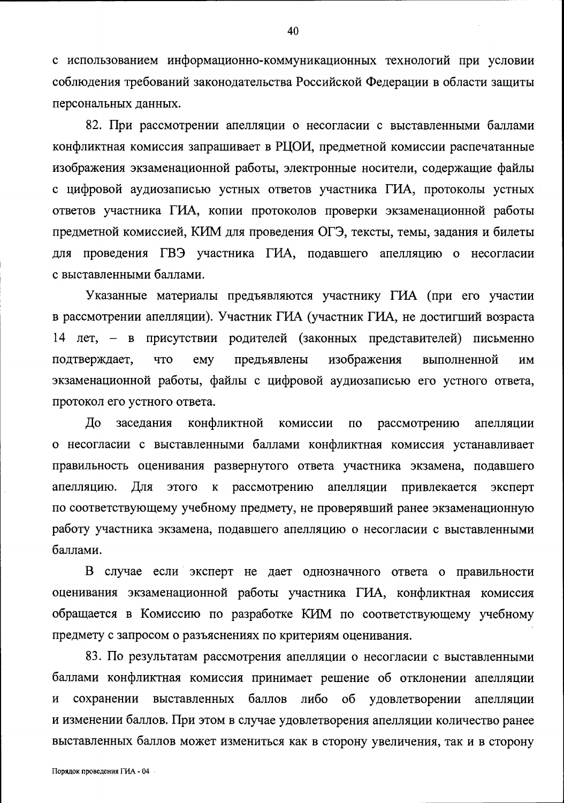с использованием информационно-коммуникационных технологий при условии соблюдения требований законодательства Российской Федерации в области защиты персональных данных.

82. При рассмотрении апелляции о несогласии с выставленными баллами конфликтная комиссия запрашивает в РЦОИ, предметной комиссии распечатанные изображения экзаменационной работы, электронные носители, содержащие файлы с цифровой аудиозаписью устных ответов участника ГИА, протоколы устных ответов участника ГИА, копии протоколов проверки экзаменационной работы предметной комиссией, КИМ для проведения ОГЭ, тексты, темы, задания и билеты для проведения ГВЭ участника ГИА, подавшего апелляцию о несогласии с выставленными баллами.

Указанные материалы предъявляются участнику ГИА (при его участии в рассмотрении апелляции). Участник ГИА (участник ГИА, не достигший возраста 14 лет, – в присутствии родителей (законных представителей) письменно ЧTO emy предъявлены изображения подтверждает, выполненной **HM** экзаменационной работы, файлы с цифровой аудиозаписью его устного ответа, протокол его устного ответа.

До конфликтной заседания комиссии  $\Pi$ <sup>O</sup> рассмотрению апелляции о несогласии с выставленными баллами конфликтная комиссия устанавливает правильность оценивания развернутого ответа участника экзамена, подавшего апелляцию. Для этого к рассмотрению апелляции эксперт привлекается по соответствующему учебному предмету, не проверявший ранее экзаменационную работу участника экзамена, подавшего апелляцию о несогласии с выставленными баллами.

В случае если эксперт не дает однозначного ответа о правильности оценивания экзаменационной работы участника ГИА, конфликтная комиссия обращается в Комиссию по разработке КИМ по соответствующему учебному предмету с запросом о разъяснениях по критериям оценивания.

83. По результатам рассмотрения апелляции о несогласии с выставленными баллами конфликтная комиссия принимает решение об отклонении апелляции сохранении выставленных баллов либо об удовлетворении  $\overline{M}$ апелляции и изменении баллов. При этом в случае удовлетворения апелляции количество ранее выставленных баллов может измениться как в сторону увеличения, так и в сторону

40